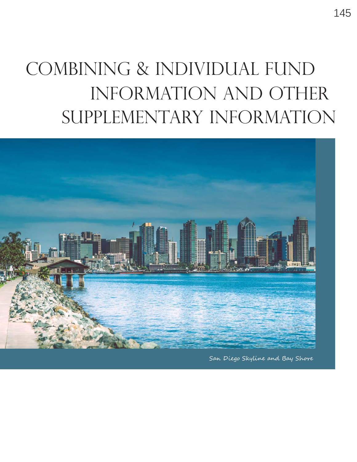# Combining & Individual fund information and other supplementary information



San Diego Skyline and Bay Shore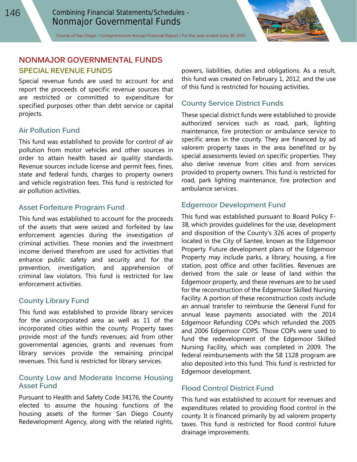County of San Diego **/** Comprehensive Annual Financial Report **/** For the year ended June 30, 2015

# **NONMAJOR GOVERNMENTAL FUNDS SPECIAL REVENUE FUNDS**

Special revenue funds are used to account for and report the proceeds of specific revenue sources that are restricted or committed to expenditure for specified purposes other than debt service or capital projects.

# **Air Pollution Fund**

This fund was established to provide for control of air pollution from motor vehicles and other sources in order to attain health based air quality standards. Revenue sources include license and permit fees, fines, state and federal funds, charges to property owners and vehicle registration fees. This fund is restricted for air pollution activities.

# **Asset Forfeiture Program Fund**

This fund was established to account for the proceeds of the assets that were seized and forfeited by law enforcement agencies during the investigation of criminal activities. These monies and the investment income derived therefrom are used for activities that enhance public safety and security and for the prevention, investigation, and apprehension of criminal law violators. This fund is restricted for law enforcement activities.

# **County Library Fund**

This fund was established to provide library services for the unincorporated area as well as 11 of the incorporated cities within the county. Property taxes provide most of the fund's revenues; aid from other governmental agencies, grants and revenues from library services provide the remaining principal revenues. This fund is restricted for library services.

# **County Low and Moderate Income Housing Asset Fund**

Pursuant to Health and Safety Code 34176, the County elected to assume the housing functions of the housing assets of the former San Diego County Redevelopment Agency, along with the related rights,

powers, liabilities, duties and obligations. As a result, this fund was created on February 1, 2012, and the use of this fund is restricted for housing activities.

# **County Service District Funds**

These special district funds were established to provide authorized services such as road, park, lighting maintenance, fire protection or ambulance service to specific areas in the county. They are financed by ad valorem property taxes in the area benefited or by special assessments levied on specific properties. They also derive revenue from cities and from services provided to property owners. This fund is restricted for road, park lighting maintenance, fire protection and ambulance services.

# **Edgemoor Development Fund**

This fund was established pursuant to Board Policy F-38, which provides guidelines for the use, development and disposition of the County's 326 acres of property located in the City of Santee, known as the Edgemoor Property. Future development plans of the Edgemoor Property may include parks, a library, housing, a fire station, post office and other facilities. Revenues are derived from the sale or lease of land within the Edgemoor property, and these revenues are to be used for the reconstruction of the Edgemoor Skilled Nursing Facility. A portion of these reconstruction costs include an annual transfer to reimburse the General Fund for annual lease payments associated with the 2014 Edgemoor Refunding COPs which refunded the 2005 and 2006 Edgemoor COPS. Those COPs were used to fund the redevelopment of the Edgemoor Skilled Nursing Facility, which was completed in 2009. The federal reimbursements with the SB 1128 program are also deposited into this fund. This fund is restricted for Edgemoor development.

# **Flood Control District Fund**

This fund was established to account for revenues and expenditures related to providing flood control in the county. It is financed primarily by ad valorem property taxes. This fund is restricted for flood control future drainage improvements.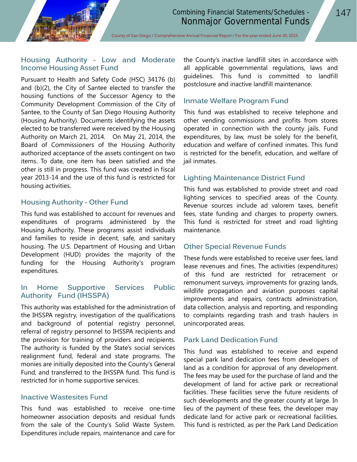County of San Diego **/** Comprehensive Annual Financial Report **/** For the year ended June 30, 2015

## **Housing Authority - Low and Moderate Income Housing Asset Fund**

Pursuant to Health and Safety Code (HSC) 34176 (b) and (b)(2), the City of Santee elected to transfer the housing functions of the Successor Agency to the Community Development Commission of the City of Santee, to the County of San Diego Housing Authority (Housing Authority). Documents identifying the assets elected to be transferred were received by the Housing Authority on March 21, 2014. On May 21, 2014, the Board of Commissioners of the Housing Authority authorized acceptance of the assets contingent on two items. To date, one item has been satisfied and the other is still in progress. This fund was created in fiscal year 2013-14 and the use of this fund is restricted for housing activities.

## **Housing Authority - Other Fund**

This fund was established to account for revenues and expenditures of programs administered by the Housing Authority. These programs assist individuals and families to reside in decent, safe, and sanitary housing. The U.S. Department of Housing and Urban Development (HUD) provides the majority of the funding for the Housing Authority's program expenditures.

## **In Home Supportive Services Public Authority Fund (IHSSPA)**

This authority was established for the administration of the IHSSPA registry, investigation of the qualifications and background of potential registry personnel, referral of registry personnel to IHSSPA recipients and the provision for training of providers and recipients. The authority is funded by the State's social services realignment fund, federal and state programs. The monies are initially deposited into the County's General Fund, and transferred to the IHSSPA fund. This fund is restricted for in home supportive services.

## **Inactive Wastesites Fund**

This fund was established to receive one-time homeowner association deposits and residual funds from the sale of the County's Solid Waste System. Expenditures include repairs, maintenance and care for the County's inactive landfill sites in accordance with all applicable governmental regulations, laws and guidelines. This fund is committed to landfill postclosure and inactive landfill maintenance.

## **Inmate Welfare Program Fund**

This fund was established to receive telephone and other vending commissions and profits from stores operated in connection with the county jails. Fund expenditures, by law, must be solely for the benefit, education and welfare of confined inmates. This fund is restricted for the benefit, education, and welfare of jail inmates.

# **Lighting Maintenance District Fund**

This fund was established to provide street and road lighting services to specified areas of the County. Revenue sources include ad valorem taxes, benefit fees, state funding and charges to property owners. This fund is restricted for street and road lighting maintenance.

## **Other Special Revenue Funds**

These funds were established to receive user fees, land lease revenues and fines. The activities (expenditures) of this fund are restricted for retracement or remonument surveys, improvements for grazing lands, wildlife propagation and aviation purposes capital improvements and repairs, contracts administration, data collection, analysis and reporting, and responding to complaints regarding trash and trash haulers in unincorporated areas.

## **Park Land Dedication Fund**

This fund was established to receive and expend special park land dedication fees from developers of land as a condition for approval of any development. The fees may be used for the purchase of land and the development of land for active park or recreational facilities. These facilities serve the future residents of such developments and the greater county at large. In lieu of the payment of these fees, the developer may dedicate land for active park or recreational facilities. This fund is restricted, as per the Park Land Dedication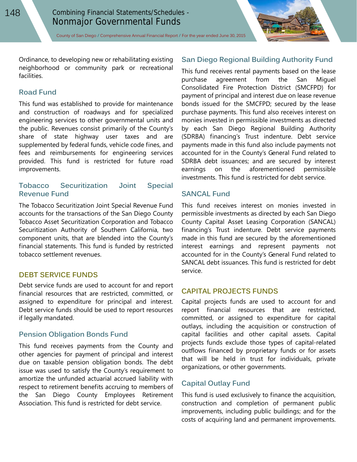County of San Diego **/** Comprehensive Annual Financial Report **/** For the year ended June 30, 2015

Ordinance, to developing new or rehabilitating existing neighborhood or community park or recreational facilities.

# **Road Fund**

This fund was established to provide for maintenance and construction of roadways and for specialized engineering services to other governmental units and the public. Revenues consist primarily of the County's share of state highway user taxes and are supplemented by federal funds, vehicle code fines, and fees and reimbursements for engineering services provided. This fund is restricted for future road improvements.

# **Tobacco Securitization Joint Special Revenue Fund**

The Tobacco Securitization Joint Special Revenue Fund accounts for the transactions of the San Diego County Tobacco Asset Securitization Corporation and Tobacco Securitization Authority of Southern California, two component units, that are blended into the County's financial statements. This fund is funded by restricted tobacco settlement revenues.

## **DEBT SERVICE FUNDS**

Debt service funds are used to account for and report financial resources that are restricted, committed, or assigned to expenditure for principal and interest. Debt service funds should be used to report resources if legally mandated.

## **Pension Obligation Bonds Fund**

This fund receives payments from the County and other agencies for payment of principal and interest due on taxable pension obligation bonds. The debt issue was used to satisfy the County's requirement to amortize the unfunded actuarial accrued liability with respect to retirement benefits accruing to members of the San Diego County Employees Retirement Association. This fund is restricted for debt service.

## **San Diego Regional Building Authority Fund**

This fund receives rental payments based on the lease purchase agreement from the San Miguel Consolidated Fire Protection District (SMCFPD) for payment of principal and interest due on lease revenue bonds issued for the SMCFPD; secured by the lease purchase payments. This fund also receives interest on monies invested in permissible investments as directed by each San Diego Regional Building Authority (SDRBA) financing's Trust indenture. Debt service payments made in this fund also include payments not accounted for in the County's General Fund related to SDRBA debt issuances; and are secured by interest earnings on the aforementioned permissible investments. This fund is restricted for debt service.

## **SANCAL Fund**

This fund receives interest on monies invested in permissible investments as directed by each San Diego County Capital Asset Leasing Corporation (SANCAL) financing's Trust indenture. Debt service payments made in this fund are secured by the aforementioned interest earnings and represent payments not accounted for in the County's General Fund related to SANCAL debt issuances. This fund is restricted for debt service.

## **CAPITAL PROJECTS FUNDS**

Capital projects funds are used to account for and report financial resources that are restricted, committed, or assigned to expenditure for capital outlays, including the acquisition or construction of capital facilities and other capital assets. Capital projects funds exclude those types of capital-related outflows financed by proprietary funds or for assets that will be held in trust for individuals, private organizations, or other governments.

## **Capital Outlay Fund**

This fund is used exclusively to finance the acquisition, construction and completion of permanent public improvements, including public buildings; and for the costs of acquiring land and permanent improvements.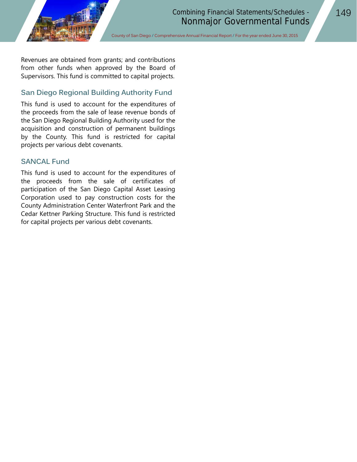

Revenues are obtained from grants; and contributions from other funds when approved by the Board of Supervisors. This fund is committed to capital projects.

# **San Diego Regional Building Authority Fund**

This fund is used to account for the expenditures of the proceeds from the sale of lease revenue bonds of the San Diego Regional Building Authority used for the acquisition and construction of permanent buildings by the County. This fund is restricted for capital projects per various debt covenants.

# **SANCAL Fund**

This fund is used to account for the expenditures of the proceeds from the sale of certificates of participation of the San Diego Capital Asset Leasing Corporation used to pay construction costs for the County Administration Center Waterfront Park and the Cedar Kettner Parking Structure. This fund is restricted for capital projects per various debt covenants.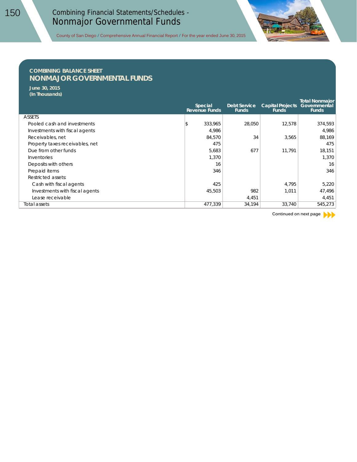County of San Diego **/** Comprehensive Annual Financial Report **/** For the year ended June 30, 2015

## **COMBINING BALANCE SHEET NONMAJOR GOVERNMENTAL FUNDS**

**June 30, 2015 (In Thousands)**

|                                 | Special<br>Revenue Funds | <b>Debt Service</b><br><b>Funds</b> | <b>Capital Projects</b><br><b>Funds</b> | <b>Total Nonmajor</b><br>Governmental<br><b>Funds</b> |
|---------------------------------|--------------------------|-------------------------------------|-----------------------------------------|-------------------------------------------------------|
| <b>ASSETS</b>                   |                          |                                     |                                         |                                                       |
| Pooled cash and investments     | 333,965<br>S             | 28,050                              | 12,578                                  | 374,593                                               |
| Investments with fiscal agents  | 4,986                    |                                     |                                         | 4,986                                                 |
| Receivables, net                | 84,570                   | 34                                  | 3,565                                   | 88,169                                                |
| Property taxes receivables, net | 475                      |                                     |                                         | 475                                                   |
| Due from other funds            | 5,683                    | 677                                 | 11,791                                  | 18,151                                                |
| Inventories                     | 1,370                    |                                     |                                         | 1,370                                                 |
| Deposits with others            | 16                       |                                     |                                         | 16                                                    |
| Prepaid items                   | 346                      |                                     |                                         | 346                                                   |
| Restricted assets:              |                          |                                     |                                         |                                                       |
| Cash with fiscal agents         | 425                      |                                     | 4,795                                   | 5,220                                                 |
| Investments with fiscal agents  | 45,503                   | 982                                 | 1,011                                   | 47,496                                                |
| Lease receivable                |                          | 4,451                               |                                         | 4,451                                                 |
| Total assets                    | 477,339                  | 34,194                              | 33,740                                  | 545,273                                               |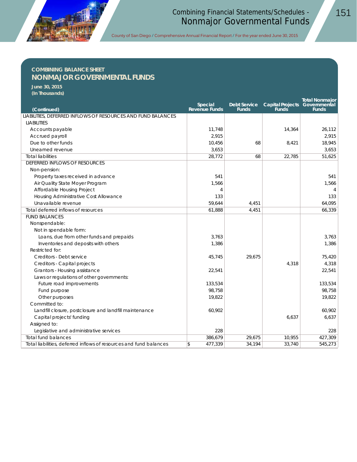

County of San Diego **/** Comprehensive Annual Financial Report **/** For the year ended June 30, 2015

## **COMBINING BALANCE SHEET NONMAJOR GOVERNMENTAL FUNDS**

**June 30, 2015 (In Thousands)**

| (Continued)                                                        | Special<br><b>Revenue Funds</b> | <b>Debt Service</b><br><b>Funds</b> | Capital Projects Governmental<br><b>Funds</b> | <b>Total Nonmajor</b><br><b>Funds</b> |
|--------------------------------------------------------------------|---------------------------------|-------------------------------------|-----------------------------------------------|---------------------------------------|
| LIABILITIES, DEFERRED INFLOWS OF RESOURCES AND FUND BALANCES       |                                 |                                     |                                               |                                       |
| <b>LIABILITIES</b>                                                 |                                 |                                     |                                               |                                       |
| Accounts payable                                                   | 11,748                          |                                     | 14,364                                        | 26,112                                |
| Accrued payroll                                                    | 2,915                           |                                     |                                               | 2,915                                 |
| Due to other funds                                                 | 10,456                          | 68                                  | 8,421                                         | 18,945                                |
| Unearned revenue                                                   | 3,653                           |                                     |                                               | 3,653                                 |
| <b>Total liabilities</b>                                           | 28,772                          | 68                                  | 22,785                                        | 51,625                                |
| DEFERRED INFLOWS OF RESOURCES                                      |                                 |                                     |                                               |                                       |
| Non-pension:                                                       |                                 |                                     |                                               |                                       |
| Property taxes received in advance                                 | 541                             |                                     |                                               | 541                                   |
| Air Quality State Moyer Program                                    | 1,566                           |                                     |                                               | 1,566                                 |
| Affordable Housing Project                                         | 4                               |                                     |                                               |                                       |
| Housing Administrative Cost Allowance                              | 133                             |                                     |                                               | 133                                   |
| Unavailable revenue                                                | 59,644                          | 4,451                               |                                               | 64,095                                |
| Total deferred inflows of resources                                | 61,888                          | 4,451                               |                                               | 66,339                                |
| <b>FUND BALANCES</b>                                               |                                 |                                     |                                               |                                       |
| Nonspendable:                                                      |                                 |                                     |                                               |                                       |
| Not in spendable form:                                             |                                 |                                     |                                               |                                       |
| Loans, due from other funds and prepaids                           | 3,763                           |                                     |                                               | 3,763                                 |
| Inventories and deposits with others                               | 1,386                           |                                     |                                               | 1,386                                 |
| Restricted for:                                                    |                                 |                                     |                                               |                                       |
| Creditors - Debt service                                           | 45,745                          | 29,675                              |                                               | 75,420                                |
| Creditors - Capital projects                                       |                                 |                                     | 4,318                                         | 4,318                                 |
| Grantors - Housing assistance                                      | 22,541                          |                                     |                                               | 22,541                                |
| Laws or regulations of other governments:                          |                                 |                                     |                                               |                                       |
| Future road improvements                                           | 133,534                         |                                     |                                               | 133,534                               |
| Fund purpose                                                       | 98,758                          |                                     |                                               | 98,758                                |
| Other purposes                                                     | 19,822                          |                                     |                                               | 19,822                                |
| Committed to:                                                      |                                 |                                     |                                               |                                       |
| Landfill closure, postclosure and landfill maintenance             | 60,902                          |                                     |                                               | 60,902                                |
| Capital projects' funding                                          |                                 |                                     | 6.637                                         | 6,637                                 |
| Assigned to:                                                       |                                 |                                     |                                               |                                       |
| Legislative and administrative services                            | 228                             |                                     |                                               | 228                                   |
| <b>Total fund balances</b>                                         | 386,679                         | 29,675                              | 10,955                                        | 427,309                               |
| Total liabilities, deferred inflows of resources and fund balances | $\sqrt{2}$<br>477,339           | 34,194                              | 33,740                                        | 545,273                               |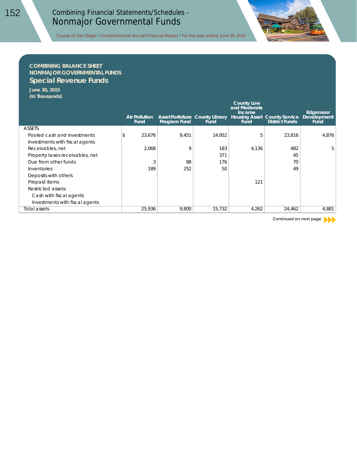## **COMBINING BALANCE SHEET NONMAJOR GOVERNMENTAL FUNDS Special Revenue Funds**

**June 30, 2015 (In Thousands)**

|                                 | <b>Air Pollution</b><br>Fund | <b>Asset Forfeiture County Library</b><br><b>Program Fund</b> | Fund   | <b>County Low</b><br>and Moderate<br>Income<br><b>Housing Asset</b><br><b>Fund</b> | <b>County Service</b><br><b>District Funds</b> | Edgemoor<br>Development<br>Fund |
|---------------------------------|------------------------------|---------------------------------------------------------------|--------|------------------------------------------------------------------------------------|------------------------------------------------|---------------------------------|
| ASSETS                          |                              |                                                               |        |                                                                                    |                                                |                                 |
| Pooled cash and investments     | 23,676                       | 9,451                                                         | 14,952 | 5                                                                                  | 23,816                                         | 4,876                           |
| Investments with fiscal agents  |                              |                                                               |        |                                                                                    |                                                |                                 |
| Receivables, net                | 2,068                        | 9                                                             | 183    | 4,136                                                                              | 482                                            | 5                               |
| Property taxes receivables, net |                              |                                                               | 371    |                                                                                    | 45                                             |                                 |
| Due from other funds            | 3                            | 88                                                            | 176    |                                                                                    | 70                                             |                                 |
| Inventories                     | 189                          | 252                                                           | 50     |                                                                                    | 49                                             |                                 |
| Deposits with others            |                              |                                                               |        |                                                                                    |                                                |                                 |
| Prepaid items                   |                              |                                                               |        | 121                                                                                |                                                |                                 |
| Restricted assets:              |                              |                                                               |        |                                                                                    |                                                |                                 |
| Cash with fiscal agents         |                              |                                                               |        |                                                                                    |                                                |                                 |
| Investments with fiscal agents  |                              |                                                               |        |                                                                                    |                                                |                                 |
| Total assets                    | 25,936                       | 9,800                                                         | 15,732 | 4,262                                                                              | 24,462                                         | 4,881                           |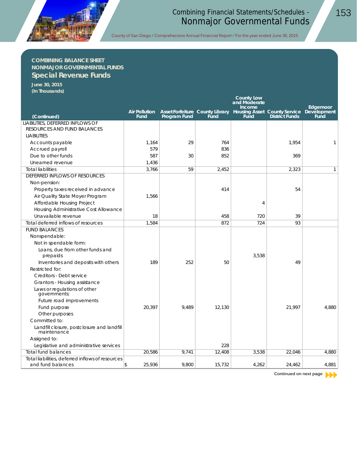

County of San Diego **/** Comprehensive Annual Financial Report **/** For the year ended June 30, 2015

## **COMBINING BALANCE SHEET NONMAJOR GOVERNMENTAL FUNDS Special Revenue Funds**

**June 30, 2015 (In Thousands)**

|                                                           |                      |              |        | <b>County Low</b><br>and Moderate |                                                                                                   |              |
|-----------------------------------------------------------|----------------------|--------------|--------|-----------------------------------|---------------------------------------------------------------------------------------------------|--------------|
|                                                           | <b>Air Pollution</b> |              |        | Income                            |                                                                                                   | Edgemoor     |
| (Continued)                                               | Fund                 | Program Fund | Fund   | Fund                              | Asset Forfeiture County Library Housing Asset County Service Development<br><b>District Funds</b> | Fund         |
| LIABILITIES, DEFERRED INFLOWS OF                          |                      |              |        |                                   |                                                                                                   |              |
| RESOURCES AND FUND BALANCES                               |                      |              |        |                                   |                                                                                                   |              |
| <b>LIABILITIES</b>                                        |                      |              |        |                                   |                                                                                                   |              |
| Accounts payable                                          | 1,164                | 29           | 764    |                                   | 1,954                                                                                             | 1            |
| Accrued payroll                                           | 579                  |              | 836    |                                   |                                                                                                   |              |
| Due to other funds                                        | 587                  | 30           | 852    |                                   | 369                                                                                               |              |
| Unearned revenue                                          | 1,436                |              |        |                                   |                                                                                                   |              |
| <b>Total liabilities</b>                                  | 3,766                | 59           | 2,452  |                                   | 2,323                                                                                             | $\mathbf{1}$ |
| DEFERRED INFLOWS OF RESOURCES                             |                      |              |        |                                   |                                                                                                   |              |
| Non-pension:                                              |                      |              |        |                                   |                                                                                                   |              |
| Property taxes received in advance                        |                      |              | 414    |                                   | 54                                                                                                |              |
| Air Quality State Moyer Program                           | 1,566                |              |        |                                   |                                                                                                   |              |
| Affordable Housing Project                                |                      |              |        | $\overline{4}$                    |                                                                                                   |              |
| Housing Administrative Cost Allowance                     |                      |              |        |                                   |                                                                                                   |              |
| Unavailable revenue                                       | 18                   |              | 458    | 720                               | 39                                                                                                |              |
| Total deferred inflows of resources                       | 1,584                |              | 872    | 724                               | 93                                                                                                |              |
| <b>FUND BALANCES</b>                                      |                      |              |        |                                   |                                                                                                   |              |
| Nonspendable:                                             |                      |              |        |                                   |                                                                                                   |              |
| Not in spendable form:                                    |                      |              |        |                                   |                                                                                                   |              |
| Loans, due from other funds and<br>prepaids               |                      |              |        | 3,538                             |                                                                                                   |              |
| Inventories and deposits with others                      | 189                  | 252          | 50     |                                   | 49                                                                                                |              |
| Restricted for:                                           |                      |              |        |                                   |                                                                                                   |              |
| Creditors - Debt service                                  |                      |              |        |                                   |                                                                                                   |              |
| Grantors - Housing assistance                             |                      |              |        |                                   |                                                                                                   |              |
| Laws or regulations of other<br>governments:              |                      |              |        |                                   |                                                                                                   |              |
| Future road improvements                                  |                      |              |        |                                   |                                                                                                   |              |
| Fund purpose                                              | 20,397               | 9,489        | 12,130 |                                   | 21,997                                                                                            | 4.880        |
| Other purposes                                            |                      |              |        |                                   |                                                                                                   |              |
| Committed to:                                             |                      |              |        |                                   |                                                                                                   |              |
| Landfill closure, postclosure and landfill<br>maintenance |                      |              |        |                                   |                                                                                                   |              |
| Assigned to:                                              |                      |              |        |                                   |                                                                                                   |              |
| Legislative and administrative services                   |                      |              | 228    |                                   |                                                                                                   |              |
| <b>Total fund balances</b>                                | 20,586               | 9,741        | 12,408 | 3,538                             | 22,046                                                                                            | 4,880        |
| Total liabilities, deferred inflows of resources          |                      |              |        |                                   |                                                                                                   |              |
| and fund balances                                         | \$<br>25,936         | 9,800        | 15,732 | 4,262                             | 24,462                                                                                            | 4,881        |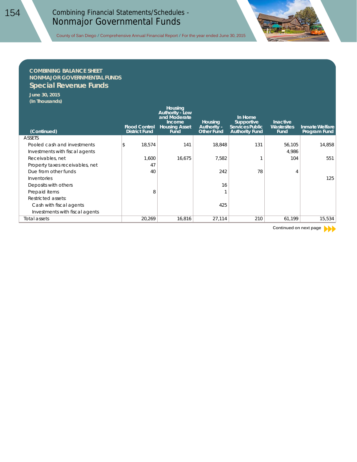County of San Diego **/** Comprehensive Annual Financial Report **/** For the year ended June 30, 2015

## **COMBINING BALANCE SHEET NONMAJOR GOVERNMENTAL FUNDS Special Revenue Funds**

**June 30, 2015**

**(In Thousands)**

| (Continued)                     | <b>Flood Control</b><br><b>District Fund</b> | Housing<br><b>Authority - Low</b><br>and Moderate<br><b>Income</b><br><b>Housing Asset</b><br>Fund | Housing<br>Authority -<br><b>Other Fund</b> | In Home<br>Supportive<br><b>Services Public</b><br><b>Authority Fund</b> | <b>Inactive</b><br><b>Wastesites</b><br>Fund | <b>Inmate Welfare</b><br>Program Fund |
|---------------------------------|----------------------------------------------|----------------------------------------------------------------------------------------------------|---------------------------------------------|--------------------------------------------------------------------------|----------------------------------------------|---------------------------------------|
| <b>ASSETS</b>                   |                                              |                                                                                                    |                                             |                                                                          |                                              |                                       |
| Pooled cash and investments     | 18,574                                       | 141                                                                                                | 18,848                                      | 131                                                                      | 56,105                                       | 14,858                                |
| Investments with fiscal agents  |                                              |                                                                                                    |                                             |                                                                          | 4,986                                        |                                       |
| Receivables, net                | 1,600                                        | 16,675                                                                                             | 7,582                                       |                                                                          | 104                                          | 551                                   |
| Property taxes receivables, net | 47                                           |                                                                                                    |                                             |                                                                          |                                              |                                       |
| Due from other funds            | 40                                           |                                                                                                    | 242                                         | 78                                                                       | 4                                            |                                       |
| Inventories                     |                                              |                                                                                                    |                                             |                                                                          |                                              | 125                                   |
| Deposits with others            |                                              |                                                                                                    | 16                                          |                                                                          |                                              |                                       |
| Prepaid items                   | 8                                            |                                                                                                    |                                             |                                                                          |                                              |                                       |
| Restricted assets:              |                                              |                                                                                                    |                                             |                                                                          |                                              |                                       |
| Cash with fiscal agents         |                                              |                                                                                                    | 425                                         |                                                                          |                                              |                                       |
| Investments with fiscal agents  |                                              |                                                                                                    |                                             |                                                                          |                                              |                                       |
| Total assets                    | 20,269                                       | 16,816                                                                                             | 27,114                                      | 210                                                                      | 61,199                                       | 15,534                                |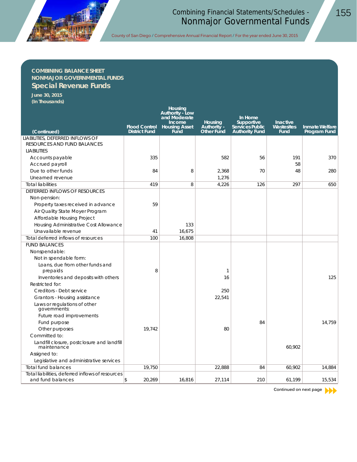

County of San Diego **/** Comprehensive Annual Financial Report **/** For the year ended June 30, 2015

## **COMBINING BALANCE SHEET NONMAJOR GOVERNMENTAL FUNDS Special Revenue Funds**

# **June 30, 2015**

**(In Thousands)**

| (Continued)                                                           | <b>Flood Control</b><br><b>District Fund</b> | <b>Housing</b><br><b>Authority - Low</b><br>and Moderate<br><b>Income</b><br><b>Housing Asset</b><br>Fund | <b>Housing</b><br>Authority -<br><b>Other Fund</b> | In Home<br>Supportive<br><b>Services Public</b><br><b>Authority Fund</b> | <b>Inactive</b><br><b>Wastesites</b><br>Fund | Inmate Welfare<br>Program Fund |
|-----------------------------------------------------------------------|----------------------------------------------|-----------------------------------------------------------------------------------------------------------|----------------------------------------------------|--------------------------------------------------------------------------|----------------------------------------------|--------------------------------|
| LIABILITIES, DEFERRED INFLOWS OF                                      |                                              |                                                                                                           |                                                    |                                                                          |                                              |                                |
| RESOURCES AND FUND BALANCES                                           |                                              |                                                                                                           |                                                    |                                                                          |                                              |                                |
| <b>LIABILITIES</b>                                                    |                                              |                                                                                                           |                                                    |                                                                          |                                              |                                |
| Accounts payable                                                      | 335                                          |                                                                                                           | 582                                                | 56                                                                       | 191                                          | 370                            |
| Accrued payroll                                                       |                                              |                                                                                                           |                                                    |                                                                          | 58                                           |                                |
| Due to other funds                                                    | 84                                           | 8                                                                                                         | 2,368                                              | 70                                                                       | 48                                           | 280                            |
| Unearned revenue                                                      |                                              |                                                                                                           | 1,276                                              |                                                                          |                                              |                                |
| <b>Total liabilities</b>                                              | 419                                          | 8                                                                                                         | 4,226                                              | 126                                                                      | 297                                          | 650                            |
| DEFERRED INFLOWS OF RESOURCES                                         |                                              |                                                                                                           |                                                    |                                                                          |                                              |                                |
| Non-pension:                                                          |                                              |                                                                                                           |                                                    |                                                                          |                                              |                                |
| Property taxes received in advance                                    | 59                                           |                                                                                                           |                                                    |                                                                          |                                              |                                |
| Air Quality State Moyer Program                                       |                                              |                                                                                                           |                                                    |                                                                          |                                              |                                |
| Affordable Housing Project                                            |                                              |                                                                                                           |                                                    |                                                                          |                                              |                                |
| Housing Administrative Cost Allowance                                 |                                              | 133                                                                                                       |                                                    |                                                                          |                                              |                                |
| Unavailable revenue                                                   | 41                                           | 16,675                                                                                                    |                                                    |                                                                          |                                              |                                |
| Total deferred inflows of resources                                   | 100                                          | 16,808                                                                                                    |                                                    |                                                                          |                                              |                                |
| <b>FUND BALANCES</b>                                                  |                                              |                                                                                                           |                                                    |                                                                          |                                              |                                |
| Nonspendable:                                                         |                                              |                                                                                                           |                                                    |                                                                          |                                              |                                |
| Not in spendable form:                                                |                                              |                                                                                                           |                                                    |                                                                          |                                              |                                |
| Loans, due from other funds and                                       |                                              |                                                                                                           |                                                    |                                                                          |                                              |                                |
| prepaids                                                              | 8                                            |                                                                                                           | $\mathbf{1}$                                       |                                                                          |                                              |                                |
| Inventories and deposits with others                                  |                                              |                                                                                                           | 16                                                 |                                                                          |                                              | 125                            |
| Restricted for:                                                       |                                              |                                                                                                           |                                                    |                                                                          |                                              |                                |
| Creditors - Debt service                                              |                                              |                                                                                                           | 250                                                |                                                                          |                                              |                                |
| Grantors - Housing assistance                                         |                                              |                                                                                                           | 22,541                                             |                                                                          |                                              |                                |
| Laws or regulations of other<br>governments:                          |                                              |                                                                                                           |                                                    |                                                                          |                                              |                                |
| Future road improvements                                              |                                              |                                                                                                           |                                                    |                                                                          |                                              |                                |
| Fund purpose                                                          |                                              |                                                                                                           |                                                    | 84                                                                       |                                              | 14,759                         |
| Other purposes                                                        | 19,742                                       |                                                                                                           | 80                                                 |                                                                          |                                              |                                |
| Committed to:                                                         |                                              |                                                                                                           |                                                    |                                                                          |                                              |                                |
| Landfill closure, postclosure and landfill<br>maintenance             |                                              |                                                                                                           |                                                    |                                                                          | 60,902                                       |                                |
| Assigned to:                                                          |                                              |                                                                                                           |                                                    |                                                                          |                                              |                                |
| Legislative and administrative services                               |                                              |                                                                                                           |                                                    |                                                                          |                                              |                                |
| <b>Total fund balances</b>                                            | 19,750                                       |                                                                                                           | 22,888                                             | 84                                                                       | 60,902                                       | 14,884                         |
| Total liabilities, deferred inflows of resources<br>and fund balances | \$<br>20.269                                 | 16.816                                                                                                    | 27.114                                             | 210                                                                      | 61.199                                       | 15,534                         |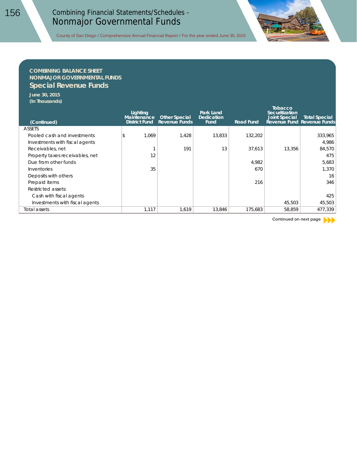County of San Diego **/** Comprehensive Annual Financial Report **/** For the year ended June 30, 2015

## **COMBINING BALANCE SHEET NONMAJOR GOVERNMENTAL FUNDS Special Revenue Funds**

# **June 30, 2015**

**(In Thousands)**

| (Continued)                     |   | Lighting<br><b>Maintenance</b><br><b>District Fund</b> | <b>Other Special</b><br>Revenue Funds | Park Land<br><b>Dedication</b><br>Fund | <b>Road Fund</b> | <b>Tobacco</b><br>Securitization<br><b>Joint Special</b> | <b>Total Special</b><br>Revenue Fund Revenue Funds |
|---------------------------------|---|--------------------------------------------------------|---------------------------------------|----------------------------------------|------------------|----------------------------------------------------------|----------------------------------------------------|
| <b>ASSETS</b>                   |   |                                                        |                                       |                                        |                  |                                                          |                                                    |
| Pooled cash and investments     | S | 1,069                                                  | 1,428                                 | 13,833                                 | 132,202          |                                                          | 333,965                                            |
| Investments with fiscal agents  |   |                                                        |                                       |                                        |                  |                                                          | 4,986                                              |
| Receivables, net                |   |                                                        | 191                                   | 13                                     | 37.613           | 13.356                                                   | 84,570                                             |
| Property taxes receivables, net |   | 12                                                     |                                       |                                        |                  |                                                          | 475                                                |
| Due from other funds            |   |                                                        |                                       |                                        | 4,982            |                                                          | 5,683                                              |
| Inventories                     |   | 35                                                     |                                       |                                        | 670              |                                                          | 1,370                                              |
| Deposits with others            |   |                                                        |                                       |                                        |                  |                                                          | 16                                                 |
| Prepaid items                   |   |                                                        |                                       |                                        | 216              |                                                          | 346                                                |
| Restricted assets:              |   |                                                        |                                       |                                        |                  |                                                          |                                                    |
| Cash with fiscal agents         |   |                                                        |                                       |                                        |                  |                                                          | 425                                                |
| Investments with fiscal agents  |   |                                                        |                                       |                                        |                  | 45,503                                                   | 45,503                                             |
| Total assets                    |   | 1,117                                                  | 1,619                                 | 13,846                                 | 175,683          | 58,859                                                   | 477,339                                            |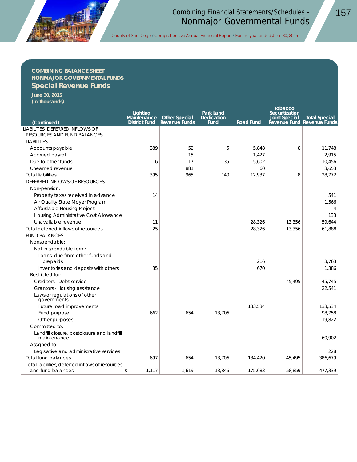

County of San Diego **/** Comprehensive Annual Financial Report **/** For the year ended June 30, 2015

## **COMBINING BALANCE SHEET NONMAJOR GOVERNMENTAL FUNDS Special Revenue Funds**

# **June 30, 2015**

**(In Thousands)**

| (Continued)                                               | Lighting<br><b>Maintenance</b><br><b>District Fund</b> | <b>Other Special</b><br><b>Revenue Funds</b> | Park Land<br><b>Dedication</b><br>Fund | <b>Road Fund</b> | <b>Tobacco</b><br><b>Securitization</b><br><b>Joint Special</b> | <b>Total Special</b><br><b>Revenue Fund Revenue Funds</b> |
|-----------------------------------------------------------|--------------------------------------------------------|----------------------------------------------|----------------------------------------|------------------|-----------------------------------------------------------------|-----------------------------------------------------------|
| LIABILITIES, DEFERRED INFLOWS OF                          |                                                        |                                              |                                        |                  |                                                                 |                                                           |
| RESOURCES AND FUND BALANCES                               |                                                        |                                              |                                        |                  |                                                                 |                                                           |
| <b>LIABILITIES</b>                                        |                                                        |                                              |                                        |                  |                                                                 |                                                           |
| Accounts payable                                          | 389                                                    | 52                                           | 5                                      | 5,848            | 8                                                               | 11,748                                                    |
| Accrued payroll                                           |                                                        | 15                                           |                                        | 1,427            |                                                                 | 2,915                                                     |
| Due to other funds                                        | 6                                                      | 17                                           | 135                                    | 5,602            |                                                                 | 10,456                                                    |
| Unearned revenue                                          |                                                        | 881                                          |                                        | 60               |                                                                 | 3,653                                                     |
| <b>Total liabilities</b>                                  | 395                                                    | 965                                          | 140                                    | 12,937           | 8                                                               | 28,772                                                    |
| DEFERRED INFLOWS OF RESOURCES                             |                                                        |                                              |                                        |                  |                                                                 |                                                           |
| Non-pension:                                              |                                                        |                                              |                                        |                  |                                                                 |                                                           |
| Property taxes received in advance                        | 14                                                     |                                              |                                        |                  |                                                                 | 541                                                       |
| Air Quality State Moyer Program                           |                                                        |                                              |                                        |                  |                                                                 | 1,566                                                     |
| Affordable Housing Project                                |                                                        |                                              |                                        |                  |                                                                 | 4                                                         |
| Housing Administrative Cost Allowance                     |                                                        |                                              |                                        |                  |                                                                 | 133                                                       |
| Unavailable revenue                                       | 11                                                     |                                              |                                        | 28,326           | 13,356                                                          | 59,644                                                    |
| Total deferred inflows of resources                       | $\overline{25}$                                        |                                              |                                        | 28,326           | 13,356                                                          | 61,888                                                    |
| <b>FUND BALANCES</b>                                      |                                                        |                                              |                                        |                  |                                                                 |                                                           |
| Nonspendable:                                             |                                                        |                                              |                                        |                  |                                                                 |                                                           |
| Not in spendable form:                                    |                                                        |                                              |                                        |                  |                                                                 |                                                           |
| Loans, due from other funds and                           |                                                        |                                              |                                        |                  |                                                                 |                                                           |
| prepaids                                                  |                                                        |                                              |                                        | 216              |                                                                 | 3.763                                                     |
| Inventories and deposits with others                      | 35                                                     |                                              |                                        | 670              |                                                                 | 1,386                                                     |
| Restricted for:                                           |                                                        |                                              |                                        |                  |                                                                 |                                                           |
| Creditors - Debt service                                  |                                                        |                                              |                                        |                  | 45,495                                                          | 45,745                                                    |
| Grantors - Housing assistance                             |                                                        |                                              |                                        |                  |                                                                 | 22,541                                                    |
| Laws or regulations of other<br>governments:              |                                                        |                                              |                                        |                  |                                                                 |                                                           |
| Future road improvements                                  |                                                        |                                              |                                        | 133,534          |                                                                 | 133,534                                                   |
| Fund purpose                                              | 662                                                    | 654                                          | 13,706                                 |                  |                                                                 | 98,758                                                    |
| Other purposes                                            |                                                        |                                              |                                        |                  |                                                                 | 19,822                                                    |
| Committed to:                                             |                                                        |                                              |                                        |                  |                                                                 |                                                           |
| Landfill closure, postclosure and landfill<br>maintenance |                                                        |                                              |                                        |                  |                                                                 | 60,902                                                    |
| Assigned to:                                              |                                                        |                                              |                                        |                  |                                                                 |                                                           |
| Legislative and administrative services                   |                                                        |                                              |                                        |                  |                                                                 | 228                                                       |
| <b>Total fund balances</b>                                | 697                                                    | 654                                          | 13.706                                 | 134,420          | 45.495                                                          | 386.679                                                   |
| Total liabilities, deferred inflows of resources          |                                                        |                                              |                                        |                  |                                                                 |                                                           |
| and fund balances                                         | \$<br>1,117                                            | 1,619                                        | 13.846                                 | 175.683          | 58.859                                                          | 477,339                                                   |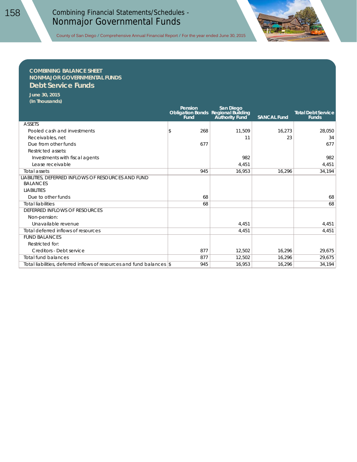County of San Diego **/** Comprehensive Annual Financial Report **/** For the year ended June 30, 2015

#### **COMBINING BALANCE SHEET NONMAJOR GOVERNMENTAL FUNDS Debt Service Funds**

**June 30, 2015 (In Thousands)**

|                                                                       | Pension<br>Fund | San Diego<br><b>Obligation Bonds Regional Building</b><br>Authority Fund | <b>SANCAL Fund</b> | <b>Total Debt Service</b><br><b>Funds</b> |
|-----------------------------------------------------------------------|-----------------|--------------------------------------------------------------------------|--------------------|-------------------------------------------|
| <b>ASSETS</b>                                                         |                 |                                                                          |                    |                                           |
| Pooled cash and investments                                           | 268             | 11.509                                                                   | 16,273             | 28,050                                    |
| Receivables, net                                                      |                 | 11                                                                       | 23                 | 34                                        |
| Due from other funds                                                  | 677             |                                                                          |                    | 677                                       |
| Restricted assets:                                                    |                 |                                                                          |                    |                                           |
| Investments with fiscal agents                                        |                 | 982                                                                      |                    | 982                                       |
| Lease receivable                                                      |                 | 4,451                                                                    |                    | 4,451                                     |
| <b>Total assets</b>                                                   | 945             | 16,953                                                                   | 16,296             | 34,194                                    |
| LIABILITIES, DEFERRED INFLOWS OF RESOURCES AND FUND                   |                 |                                                                          |                    |                                           |
| <b>BALANCES</b>                                                       |                 |                                                                          |                    |                                           |
| <b>LIABILITIES</b>                                                    |                 |                                                                          |                    |                                           |
| Due to other funds                                                    | 68              |                                                                          |                    | 68                                        |
| <b>Total liabilities</b>                                              | 68              |                                                                          |                    | 68                                        |
| DEFERRED INFLOWS OF RESOURCES                                         |                 |                                                                          |                    |                                           |
| Non-pension:                                                          |                 |                                                                          |                    |                                           |
| Unavailable revenue                                                   |                 | 4.451                                                                    |                    | 4,451                                     |
| Total deferred inflows of resources                                   |                 | 4,451                                                                    |                    | 4,451                                     |
| <b>FUND BALANCES</b>                                                  |                 |                                                                          |                    |                                           |
| Restricted for:                                                       |                 |                                                                          |                    |                                           |
| Creditors - Debt service                                              | 877             | 12,502                                                                   | 16,296             | 29,675                                    |
| Total fund balances                                                   | 877             | 12,502                                                                   | 16,296             | 29,675                                    |
| Total liabilities, deferred inflows of resources and fund balances \$ | 945             | 16,953                                                                   | 16,296             | 34,194                                    |

158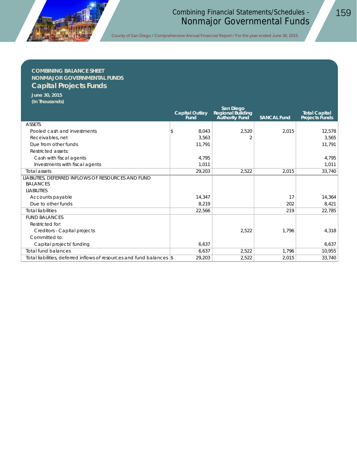

County of San Diego **/** Comprehensive Annual Financial Report **/** For the year ended June 30, 2015

## **COMBINING BALANCE SHEET NONMAJOR GOVERNMENTAL FUNDS Capital Projects Funds**

**June 30, 2015 (In Thousands)**

|                                                                       |                               | San Diego                                  |                    |                                               |
|-----------------------------------------------------------------------|-------------------------------|--------------------------------------------|--------------------|-----------------------------------------------|
|                                                                       | <b>Capital Outlay</b><br>Fund | <b>Regional Building</b><br>Authority Fund | <b>SANCAL Fund</b> | <b>Total Capital</b><br><b>Projects Funds</b> |
| <b>ASSETS</b>                                                         |                               |                                            |                    |                                               |
| Pooled cash and investments                                           | 8,043                         | 2,520                                      | 2,015              | 12,578                                        |
| Receivables, net                                                      | 3,563                         | $\overline{2}$                             |                    | 3,565                                         |
| Due from other funds                                                  | 11,791                        |                                            |                    | 11,791                                        |
| Restricted assets:                                                    |                               |                                            |                    |                                               |
| Cash with fiscal agents                                               | 4,795                         |                                            |                    | 4,795                                         |
| Investments with fiscal agents                                        | 1,011                         |                                            |                    | 1,011                                         |
| <b>Total assets</b>                                                   | 29,203                        | 2,522                                      | 2,015              | 33,740                                        |
| LIABILITIES, DEFERRED INFLOWS OF RESOURCES AND FUND                   |                               |                                            |                    |                                               |
| <b>BALANCES</b>                                                       |                               |                                            |                    |                                               |
| <b>LIABILITIES</b>                                                    |                               |                                            |                    |                                               |
| Accounts payable                                                      | 14,347                        |                                            | 17                 | 14,364                                        |
| Due to other funds                                                    | 8,219                         |                                            | 202                | 8,421                                         |
| <b>Total liabilities</b>                                              | 22,566                        |                                            | 219                | 22,785                                        |
| <b>FUND BALANCES</b>                                                  |                               |                                            |                    |                                               |
| Restricted for:                                                       |                               |                                            |                    |                                               |
| Creditors - Capital projects                                          |                               | 2,522                                      | 1,796              | 4,318                                         |
| Committed to:                                                         |                               |                                            |                    |                                               |
| Capital projects' funding                                             | 6,637                         |                                            |                    | 6,637                                         |
| <b>Total fund balances</b>                                            | 6,637                         | 2,522                                      | 1,796              | 10,955                                        |
| Total liabilities, deferred inflows of resources and fund balances \$ | 29,203                        | 2,522                                      | 2,015              | 33,740                                        |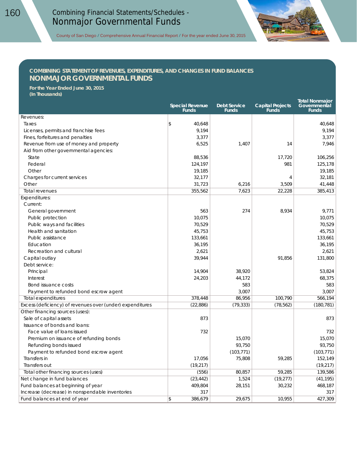# **COMBINING STATEMENT OF REVENUES, EXPENDITURES, AND CHANGES IN FUND BALANCES NONMAJOR GOVERNMENTAL FUNDS**

**For the Year Ended June 30, 2015**

**(In Thousands)**

|                                                           | <b>Special Revenue</b><br><b>Funds</b> | <b>Debt Service</b><br><b>Funds</b> | <b>Capital Projects</b><br><b>Funds</b> | <b>Total Nonmajor</b><br>Governmental<br><b>Funds</b> |
|-----------------------------------------------------------|----------------------------------------|-------------------------------------|-----------------------------------------|-------------------------------------------------------|
| Revenues:                                                 |                                        |                                     |                                         |                                                       |
| Taxes                                                     | \$<br>40.648                           |                                     |                                         | 40,648                                                |
| Licenses, permits and franchise fees                      | 9,194                                  |                                     |                                         | 9,194                                                 |
| Fines, forfeitures and penalties                          | 3,377                                  |                                     |                                         | 3,377                                                 |
| Revenue from use of money and property                    | 6,525                                  | 1,407                               | 14                                      | 7,946                                                 |
| Aid from other governmental agencies:                     |                                        |                                     |                                         |                                                       |
| State                                                     | 88,536                                 |                                     | 17,720                                  | 106,256                                               |
| Federal                                                   | 124,197                                |                                     | 981                                     | 125,178                                               |
| Other                                                     | 19,185                                 |                                     |                                         | 19,185                                                |
| Charges for current services                              | 32,177                                 |                                     | 4                                       | 32,181                                                |
| Other                                                     | 31,723                                 | 6,216                               | 3,509                                   | 41,448                                                |
| <b>Total revenues</b>                                     | 355,562                                | 7,623                               | 22,228                                  | 385,413                                               |
| Expenditures:                                             |                                        |                                     |                                         |                                                       |
| Current:                                                  |                                        |                                     |                                         |                                                       |
| General government                                        | 563                                    | 274                                 | 8,934                                   | 9.771                                                 |
| Public protection                                         | 10,075                                 |                                     |                                         | 10,075                                                |
| Public ways and facilities                                | 70,529                                 |                                     |                                         | 70,529                                                |
| Health and sanitation                                     | 45,753                                 |                                     |                                         | 45,753                                                |
| Public assistance                                         | 133,661                                |                                     |                                         | 133,661                                               |
| Education                                                 | 36,195                                 |                                     |                                         | 36,195                                                |
| Recreation and cultural                                   | 2,621                                  |                                     |                                         | 2,621                                                 |
| Capital outlay                                            | 39,944                                 |                                     | 91,856                                  | 131,800                                               |
| Debt service:                                             |                                        |                                     |                                         |                                                       |
| Principal                                                 | 14,904                                 | 38,920                              |                                         | 53,824                                                |
| Interest                                                  | 24,203                                 | 44,172                              |                                         | 68,375                                                |
| Bond issuance costs                                       |                                        | 583                                 |                                         | 583                                                   |
| Payment to refunded bond escrow agent                     |                                        | 3,007                               |                                         | 3,007                                                 |
| Total expenditures                                        | 378,448                                | 86,956                              | 100,790                                 | 566,194                                               |
| Excess (deficiency) of revenues over (under) expenditures | (22, 886)                              | (79, 333)                           | (78, 562)                               | (180, 781)                                            |
| Other financing sources (uses):                           |                                        |                                     |                                         |                                                       |
| Sale of capital assets                                    | 873                                    |                                     |                                         | 873                                                   |
| Issuance of bonds and loans:                              |                                        |                                     |                                         |                                                       |
| Face value of loans issued                                | 732                                    |                                     |                                         | 732                                                   |
| Premium on issuance of refunding bonds                    |                                        | 15,070                              |                                         | 15,070                                                |
| Refunding bonds issued                                    |                                        | 93,750                              |                                         | 93,750                                                |
| Payment to refunded bond escrow agent                     |                                        | (103, 771)                          |                                         | (103, 771)                                            |
| Transfers in                                              | 17,056                                 | 75,808                              | 59,285                                  | 152,149                                               |
| Transfers out                                             | (19, 217)                              |                                     |                                         | (19, 217)                                             |
| Total other financing sources (uses)                      | (556)                                  | 80,857                              | 59,285                                  | 139,586                                               |
| Net change in fund balances                               | (23, 442)                              | 1,524                               | (19, 277)                               | (41, 195)                                             |
| Fund balances at beginning of year                        | 409,804                                | 28,151                              | 30,232                                  | 468,187                                               |
| Increase (decrease) in nonspendable inventories           | 317                                    |                                     |                                         | 317                                                   |
| Fund balances at end of year                              | $\mathsf{\$}$<br>386,679               | 29,675                              | 10,955                                  | 427,309                                               |

160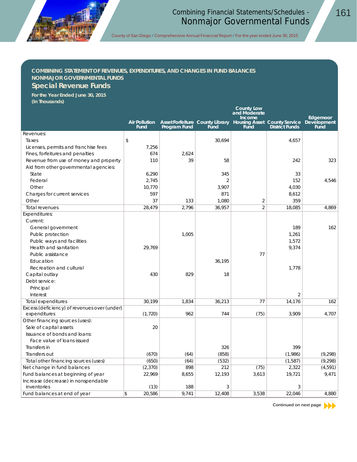

County of San Diego **/** Comprehensive Annual Financial Report **/** For the year ended June 30, 2015

# **COMBINING STATEMENT OF REVENUES, EXPENDITURES, AND CHANGES IN FUND BALANCES NONMAJOR GOVERNMENTAL FUNDS**

# **Special Revenue Funds**

**For the Year Ended June 30, 2015 (In Thousands)**

|                                              |                              |              |        | <b>County Low</b><br>and Moderate<br>Income |                                                                                                   | Edgemoor |
|----------------------------------------------|------------------------------|--------------|--------|---------------------------------------------|---------------------------------------------------------------------------------------------------|----------|
|                                              | <b>Air Pollution</b><br>Fund | Program Fund | Fund   | Fund                                        | Asset Forfeiture County Library Housing Asset County Service Development<br><b>District Funds</b> | Fund     |
| Revenues:                                    |                              |              |        |                                             |                                                                                                   |          |
| Taxes                                        | \$                           |              | 30,694 |                                             | 4,657                                                                                             |          |
| Licenses, permits and franchise fees         | 7,256                        |              |        |                                             |                                                                                                   |          |
| Fines, forfeitures and penalties             | 674                          | 2,624        |        |                                             |                                                                                                   |          |
| Revenue from use of money and property       | 110                          | 39           | 58     |                                             | 242                                                                                               | 323      |
| Aid from other governmental agencies:        |                              |              |        |                                             |                                                                                                   |          |
| State                                        | 6,290                        |              | 345    |                                             | 33                                                                                                |          |
| Federal                                      | 2,745                        |              | 2      |                                             | 152                                                                                               | 4,546    |
| Other                                        | 10,770                       |              | 3,907  |                                             | 4,030                                                                                             |          |
| Charges for current services                 | 597                          |              | 871    |                                             | 8,612                                                                                             |          |
| Other                                        | 37                           | 133          | 1,080  | $\overline{2}$                              | 359                                                                                               |          |
| <b>Total revenues</b>                        | 28,479                       | 2,796        | 36,957 | $\overline{2}$                              | 18,085                                                                                            | 4,869    |
| Expenditures:                                |                              |              |        |                                             |                                                                                                   |          |
| Current:                                     |                              |              |        |                                             |                                                                                                   |          |
| General government                           |                              |              |        |                                             | 189                                                                                               | 162      |
| Public protection                            |                              | 1,005        |        |                                             | 1,261                                                                                             |          |
| Public ways and facilities                   |                              |              |        |                                             | 1,572                                                                                             |          |
| Health and sanitation                        | 29,769                       |              |        |                                             | 9,374                                                                                             |          |
| Public assistance                            |                              |              |        | 77                                          |                                                                                                   |          |
| Education                                    |                              |              | 36,195 |                                             |                                                                                                   |          |
| Recreation and cultural                      |                              |              |        |                                             | 1,778                                                                                             |          |
| Capital outlay                               | 430                          | 829          | 18     |                                             |                                                                                                   |          |
| Debt service:                                |                              |              |        |                                             |                                                                                                   |          |
| Principal                                    |                              |              |        |                                             |                                                                                                   |          |
| Interest                                     |                              |              |        |                                             | 2                                                                                                 |          |
| <b>Total expenditures</b>                    | 30,199                       | 1,834        | 36,213 | 77                                          | 14,176                                                                                            | 162      |
| Excess (deficiency) of revenues over (under) |                              |              |        |                                             |                                                                                                   |          |
| expenditures                                 | (1, 720)                     | 962          | 744    | (75)                                        | 3,909                                                                                             | 4,707    |
| Other financing sources (uses):              |                              |              |        |                                             |                                                                                                   |          |
| Sale of capital assets                       | 20                           |              |        |                                             |                                                                                                   |          |
| Issuance of bonds and loans:                 |                              |              |        |                                             |                                                                                                   |          |
| Face value of loans issued                   |                              |              |        |                                             |                                                                                                   |          |
| Transfers in                                 |                              |              | 326    |                                             | 399                                                                                               |          |
| Transfers out                                | (670)                        | (64)         | (858)  |                                             | (1,986)                                                                                           | (9, 298) |
| Total other financing sources (uses)         | (650)                        | (64)         | (532)  |                                             | (1, 587)                                                                                          | (9, 298) |
| Net change in fund balances                  | (2, 370)                     | 898          | 212    | (75)                                        | 2,322                                                                                             | (4,591)  |
| Fund balances at beginning of year           | 22,969                       | 8,655        | 12,193 | 3,613                                       | 19,721                                                                                            | 9,471    |
| Increase (decrease) in nonspendable          |                              |              |        |                                             |                                                                                                   |          |
| inventories                                  | (13)                         | 188          | 3      |                                             | 3                                                                                                 |          |
| Fund balances at end of year                 | \$<br>20,586                 | 9,741        | 12,408 | 3,538                                       | 22,046                                                                                            | 4,880    |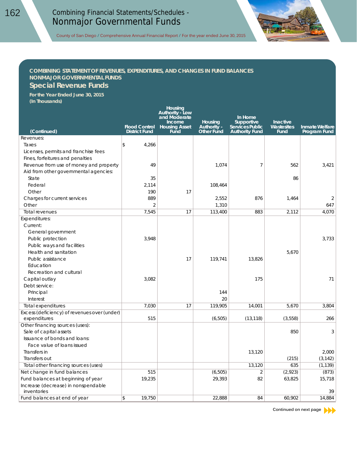County of San Diego **/** Comprehensive Annual Financial Report **/** For the year ended June 30, 2015

# **COMBINING STATEMENT OF REVENUES, EXPENDITURES, AND CHANGES IN FUND BALANCES NONMAJOR GOVERNMENTAL FUNDS**

# **Special Revenue Funds**

**For the Year Ended June 30, 2015 (In Thousands)**

|                                                    |                                              | Housing<br><b>Authority - Low</b><br>and Moderate<br>Income | <b>Housing</b>            | In Home<br>Supportive                           | <b>Inactive</b>           |                                       |
|----------------------------------------------------|----------------------------------------------|-------------------------------------------------------------|---------------------------|-------------------------------------------------|---------------------------|---------------------------------------|
| (Continued)                                        | <b>Flood Control</b><br><b>District Fund</b> | <b>Housing Asset</b><br>Fund                                | Authority -<br>Other Fund | <b>Services Public</b><br><b>Authority Fund</b> | <b>Wastesites</b><br>Fund | <b>Inmate Welfare</b><br>Program Fund |
| Revenues:                                          |                                              |                                                             |                           |                                                 |                           |                                       |
| Taxes                                              | \$<br>4,266                                  |                                                             |                           |                                                 |                           |                                       |
| Licenses, permits and franchise fees               |                                              |                                                             |                           |                                                 |                           |                                       |
| Fines, forfeitures and penalties                   |                                              |                                                             |                           |                                                 |                           |                                       |
| Revenue from use of money and property             | 49                                           |                                                             | 1,074                     | $\overline{7}$                                  | 562                       | 3,421                                 |
| Aid from other governmental agencies:              |                                              |                                                             |                           |                                                 |                           |                                       |
| State                                              | 35                                           |                                                             |                           |                                                 | 86                        |                                       |
| Federal                                            | 2,114                                        |                                                             | 108,464                   |                                                 |                           |                                       |
| Other                                              | 190                                          | 17                                                          |                           |                                                 |                           |                                       |
| Charges for current services                       | 889                                          |                                                             | 2,552                     | 876                                             | 1,464                     | 2                                     |
| Other                                              | $\overline{2}$                               |                                                             | 1,310                     |                                                 |                           | 647                                   |
| <b>Total revenues</b>                              | 7,545                                        | 17                                                          | 113,400                   | 883                                             | 2,112                     | 4,070                                 |
| Expenditures:                                      |                                              |                                                             |                           |                                                 |                           |                                       |
| Current:                                           |                                              |                                                             |                           |                                                 |                           |                                       |
| General government                                 |                                              |                                                             |                           |                                                 |                           |                                       |
| Public protection                                  | 3,948                                        |                                                             |                           |                                                 |                           | 3,733                                 |
| Public ways and facilities                         |                                              |                                                             |                           |                                                 |                           |                                       |
| Health and sanitation                              |                                              |                                                             |                           |                                                 | 5,670                     |                                       |
| Public assistance                                  |                                              | 17                                                          | 119,741                   | 13,826                                          |                           |                                       |
| Education                                          |                                              |                                                             |                           |                                                 |                           |                                       |
| Recreation and cultural                            |                                              |                                                             |                           |                                                 |                           |                                       |
| Capital outlay                                     | 3,082                                        |                                                             |                           | 175                                             |                           | 71                                    |
| Debt service:                                      |                                              |                                                             |                           |                                                 |                           |                                       |
| Principal                                          |                                              |                                                             | 144                       |                                                 |                           |                                       |
| Interest                                           |                                              |                                                             | 20                        |                                                 |                           |                                       |
| Total expenditures                                 | 7,030                                        | 17                                                          | 119,905                   | 14,001                                          | 5,670                     | 3,804                                 |
| Excess (deficiency) of revenues over (under)       |                                              |                                                             |                           |                                                 |                           |                                       |
| expenditures                                       | 515                                          |                                                             | (6, 505)                  | (13, 118)                                       | (3, 558)                  | 266                                   |
| Other financing sources (uses):                    |                                              |                                                             |                           |                                                 |                           |                                       |
| Sale of capital assets                             |                                              |                                                             |                           |                                                 | 850                       | 3                                     |
| Issuance of bonds and loans:                       |                                              |                                                             |                           |                                                 |                           |                                       |
| Face value of loans issued                         |                                              |                                                             |                           |                                                 |                           |                                       |
| Transfers in                                       |                                              |                                                             |                           | 13,120                                          |                           | 2.000                                 |
| Transfers out                                      |                                              |                                                             |                           |                                                 | (215)                     | (3, 142)                              |
| Total other financing sources (uses)               |                                              |                                                             |                           | 13,120                                          | 635                       | (1, 139)                              |
| Net change in fund balances                        | 515                                          |                                                             | (6, 505)                  | $\overline{2}$                                  | (2,923)                   | (873)                                 |
| Fund balances at beginning of year                 | 19,235                                       |                                                             | 29,393                    | 82                                              | 63,825                    | 15,718                                |
| Increase (decrease) in nonspendable<br>inventories |                                              |                                                             |                           |                                                 |                           | 39                                    |
| Fund balances at end of year                       | 19,750<br>$\sqrt{2}$                         |                                                             | 22,888                    | 84                                              | 60,902                    | 14,884                                |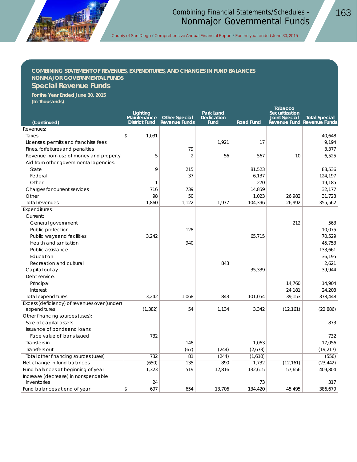

County of San Diego **/** Comprehensive Annual Financial Report **/** For the year ended June 30, 2015

## **COMBINING STATEMENT OF REVENUES, EXPENDITURES, AND CHANGES IN FUND BALANCES NONMAJOR GOVERNMENTAL FUNDS**

## **Special Revenue Funds**

|                                              |                                |                      |                                       |                  | Tobacco                                |                                   |
|----------------------------------------------|--------------------------------|----------------------|---------------------------------------|------------------|----------------------------------------|-----------------------------------|
|                                              | Lighting<br><b>Maintenance</b> | <b>Other Special</b> | <b>Park Land</b><br><b>Dedication</b> |                  | Securitization<br><b>Joint Special</b> | <b>Total Special</b>              |
| (Continued)                                  | <b>District Fund</b>           | <b>Revenue Funds</b> | Fund                                  | <b>Road Fund</b> |                                        | <b>Revenue Fund Revenue Funds</b> |
| Revenues:                                    |                                |                      |                                       |                  |                                        |                                   |
| Taxes                                        | \$<br>1,031                    |                      |                                       |                  |                                        | 40,648                            |
| Licenses, permits and franchise fees         |                                |                      | 1,921                                 | 17               |                                        | 9,194                             |
| Fines, forfeitures and penalties             |                                | 79                   |                                       |                  |                                        | 3,377                             |
| Revenue from use of money and property       | 5                              | $\overline{2}$       | 56                                    | 567              | 10                                     | 6,525                             |
| Aid from other governmental agencies:        |                                |                      |                                       |                  |                                        |                                   |
| State                                        | 9                              | 215                  |                                       | 81,523           |                                        | 88,536                            |
| Federal                                      |                                | 37                   |                                       | 6,137            |                                        | 124,197                           |
| Other                                        | 1                              |                      |                                       | 270              |                                        | 19,185                            |
| Charges for current services                 | 716                            | 739                  |                                       | 14,859           |                                        | 32,177                            |
| Other                                        | 98                             | 50                   |                                       | 1,023            | 26,982                                 | 31,723                            |
| <b>Total revenues</b>                        | 1,860                          | 1,122                | 1,977                                 | 104,396          | 26,992                                 | 355,562                           |
| <b>Expenditures:</b>                         |                                |                      |                                       |                  |                                        |                                   |
| Current:                                     |                                |                      |                                       |                  |                                        |                                   |
| General government                           |                                |                      |                                       |                  | 212                                    | 563                               |
| Public protection                            |                                | 128                  |                                       |                  |                                        | 10,075                            |
| Public ways and facilities                   | 3,242                          |                      |                                       | 65,715           |                                        | 70,529                            |
| Health and sanitation                        |                                | 940                  |                                       |                  |                                        | 45,753                            |
| Public assistance                            |                                |                      |                                       |                  |                                        | 133.661                           |
| Education                                    |                                |                      |                                       |                  |                                        | 36,195                            |
| Recreation and cultural                      |                                |                      | 843                                   |                  |                                        | 2,621                             |
| Capital outlay                               |                                |                      |                                       | 35,339           |                                        | 39,944                            |
| Debt service:                                |                                |                      |                                       |                  |                                        |                                   |
| Principal                                    |                                |                      |                                       |                  | 14,760                                 | 14,904                            |
| Interest                                     |                                |                      |                                       |                  | 24,181                                 | 24,203                            |
| Total expenditures                           | 3,242                          | 1,068                | 843                                   | 101.054          | 39,153                                 | 378,448                           |
| Excess (deficiency) of revenues over (under) |                                |                      |                                       |                  |                                        |                                   |
| expenditures                                 | (1, 382)                       | 54                   | 1,134                                 | 3,342            | (12, 161)                              | (22, 886)                         |
| Other financing sources (uses):              |                                |                      |                                       |                  |                                        |                                   |
| Sale of capital assets                       |                                |                      |                                       |                  |                                        | 873                               |
| Issuance of bonds and loans:                 |                                |                      |                                       |                  |                                        |                                   |
| Face value of loans issued                   | 732                            |                      |                                       |                  |                                        | 732                               |
| Transfers in                                 |                                | 148                  |                                       | 1,063            |                                        | 17,056                            |
| Transfers out                                |                                | (67)                 | (244)                                 | (2,673)          |                                        | (19, 217)                         |
| Total other financing sources (uses)         | 732                            | 81                   | (244)                                 | (1,610)          |                                        | (556)                             |
| Net change in fund balances                  | (650)                          | 135                  | 890                                   | 1,732            | (12, 161)                              | (23, 442)                         |
| Fund balances at beginning of year           | 1,323                          | 519                  | 12,816                                | 132,615          | 57,656                                 | 409,804                           |
| Increase (decrease) in nonspendable          |                                |                      |                                       |                  |                                        |                                   |
| inventories                                  | 24                             |                      |                                       | 73               |                                        | 317                               |
| Fund balances at end of year                 | \$<br>697                      | 654                  | 13,706                                | 134,420          | 45,495                                 | 386,679                           |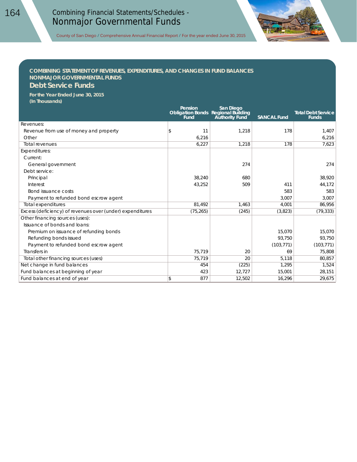#### **COMBINING STATEMENT OF REVENUES, EXPENDITURES, AND CHANGES IN FUND BALANCES NONMAJOR GOVERNMENTAL FUNDS**

## **Debt Service Funds**

|                                                           | Pension<br><b>Obligation Bonds</b><br>Fund | San Diego<br><b>Regional Building</b><br>Authority Fund | <b>SANCAL Fund</b> | <b>Total Debt Service</b><br><b>Funds</b> |
|-----------------------------------------------------------|--------------------------------------------|---------------------------------------------------------|--------------------|-------------------------------------------|
| Revenues:                                                 |                                            |                                                         |                    |                                           |
| Revenue from use of money and property                    | 11                                         | 1,218                                                   | 178                | 1,407                                     |
| Other                                                     | 6,216                                      |                                                         |                    | 6,216                                     |
| <b>Total revenues</b>                                     | 6,227                                      | 1,218                                                   | 178                | 7,623                                     |
| Expenditures:                                             |                                            |                                                         |                    |                                           |
| Current:                                                  |                                            |                                                         |                    |                                           |
| General government                                        |                                            | 274                                                     |                    | 274                                       |
| Debt service:                                             |                                            |                                                         |                    |                                           |
| Principal                                                 | 38,240                                     | 680                                                     |                    | 38,920                                    |
| Interest                                                  | 43,252                                     | 509                                                     | 411                | 44,172                                    |
| Bond issuance costs                                       |                                            |                                                         | 583                | 583                                       |
| Payment to refunded bond escrow agent                     |                                            |                                                         | 3.007              | 3.007                                     |
| <b>Total expenditures</b>                                 | 81.492                                     | 1,463                                                   | 4,001              | 86,956                                    |
| Excess (deficiency) of revenues over (under) expenditures | (75, 265)                                  | (245)                                                   | (3,823)            | (79, 333)                                 |
| Other financing sources (uses):                           |                                            |                                                         |                    |                                           |
| Issuance of bonds and loans:                              |                                            |                                                         |                    |                                           |
| Premium on issuance of refunding bonds                    |                                            |                                                         | 15.070             | 15.070                                    |
| Refunding bonds issued                                    |                                            |                                                         | 93.750             | 93.750                                    |
| Payment to refunded bond escrow agent                     |                                            |                                                         | (103, 771)         | (103, 771)                                |
| Transfers in                                              | 75,719                                     | 20                                                      | 69                 | 75,808                                    |
| Total other financing sources (uses)                      | 75,719                                     | 20                                                      | 5,118              | 80,857                                    |
| Net change in fund balances                               | 454                                        | (225)                                                   | 1,295              | 1,524                                     |
| Fund balances at beginning of year                        | 423                                        | 12,727                                                  | 15,001             | 28,151                                    |
| Fund balances at end of year                              | \$<br>877                                  | 12,502                                                  | 16,296             | 29.675                                    |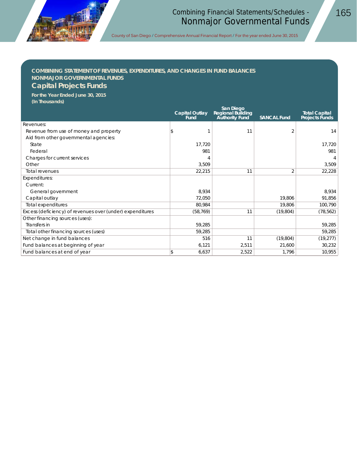

County of San Diego **/** Comprehensive Annual Financial Report **/** For the year ended June 30, 2015

#### **COMBINING STATEMENT OF REVENUES, EXPENDITURES, AND CHANGES IN FUND BALANCES NONMAJOR GOVERNMENTAL FUNDS**

## **Capital Projects Funds**

|                                                           |                               | San Diego                           |                    |                                               |
|-----------------------------------------------------------|-------------------------------|-------------------------------------|--------------------|-----------------------------------------------|
|                                                           | <b>Capital Outlay</b><br>Fund | Regional Building<br>Authority Fund | <b>SANCAL Fund</b> | <b>Total Capital</b><br><b>Projects Funds</b> |
| Revenues:                                                 |                               |                                     |                    |                                               |
| Revenue from use of money and property                    |                               | 11                                  | $\overline{2}$     | 14                                            |
| Aid from other governmental agencies:                     |                               |                                     |                    |                                               |
| State                                                     | 17,720                        |                                     |                    | 17,720                                        |
| Federal                                                   | 981                           |                                     |                    | 981                                           |
| Charges for current services                              | 4                             |                                     |                    | 4                                             |
| Other                                                     | 3,509                         |                                     |                    | 3,509                                         |
| <b>Total revenues</b>                                     | 22,215                        | 11                                  | 2                  | 22,228                                        |
| Expenditures:                                             |                               |                                     |                    |                                               |
| Current:                                                  |                               |                                     |                    |                                               |
| General government                                        | 8,934                         |                                     |                    | 8,934                                         |
| Capital outlay                                            | 72,050                        |                                     | 19,806             | 91,856                                        |
| <b>Total expenditures</b>                                 | 80,984                        |                                     | 19,806             | 100,790                                       |
| Excess (deficiency) of revenues over (under) expenditures | (58, 769)                     | 11                                  | (19,804)           | (78, 562)                                     |
| Other financing sources (uses):                           |                               |                                     |                    |                                               |
| Transfers in                                              | 59,285                        |                                     |                    | 59,285                                        |
| Total other financing sources (uses)                      | 59,285                        |                                     |                    | 59,285                                        |
| Net change in fund balances                               | 516                           | 11                                  | (19, 804)          | (19, 277)                                     |
| Fund balances at beginning of year                        | 6,121                         | 2,511                               | 21,600             | 30,232                                        |
| Fund balances at end of year                              | 6,637<br>\$                   | 2,522                               | 1,796              | 10,955                                        |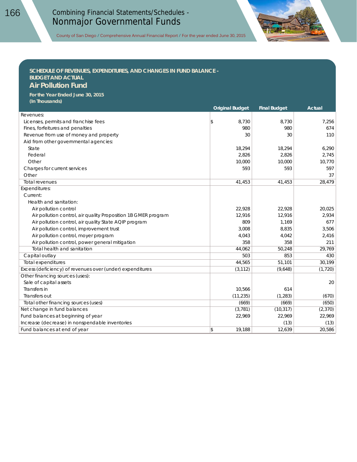| SCHEDULE OF REVENUES, EXPENDITURES, AND CHANGES IN FUND BALANCE -<br><b>BUDGET AND ACTUAL</b><br><b>Air Pollution Fund</b> |                        |                     |               |
|----------------------------------------------------------------------------------------------------------------------------|------------------------|---------------------|---------------|
| For the Year Ended June 30, 2015                                                                                           |                        |                     |               |
| (In Thousands)                                                                                                             |                        |                     |               |
|                                                                                                                            | <b>Original Budget</b> | <b>Final Budget</b> | <b>Actual</b> |
| Revenues:                                                                                                                  |                        |                     |               |
| Licenses, permits and franchise fees                                                                                       | 8,730<br>\$            | 8,730               | 7,256         |
| Fines, forfeitures and penalties                                                                                           | 980                    | 980                 | 674           |
| Revenue from use of money and property                                                                                     | 30                     | 30                  | 110           |
| Aid from other governmental agencies:                                                                                      |                        |                     |               |
| State                                                                                                                      | 18,294                 | 18,294              | 6.290         |
| Federal                                                                                                                    | 2,826                  | 2,826               | 2,745         |
| Other                                                                                                                      | 10,000                 | 10,000              | 10,770        |
| Charges for current services                                                                                               | 593                    | 593                 | 597           |
| Other                                                                                                                      |                        |                     | 37            |
| Total revenues                                                                                                             | 41,453                 | 41,453              | 28,479        |
| Expenditures:                                                                                                              |                        |                     |               |
| Current:                                                                                                                   |                        |                     |               |
| Health and sanitation:                                                                                                     |                        |                     |               |
| Air pollution control                                                                                                      | 22,928                 | 22,928              | 20.025        |
| Air pollution control, air quality Proposition 1B GMER program                                                             | 12,916                 | 12,916              | 2,934         |
| Air pollution control, air quality State AQIP program                                                                      | 809                    | 1,169               | 677           |
| Air pollution control, improvement trust                                                                                   | 3,008                  | 8,835               | 3,506         |
| Air pollution control, moyer program                                                                                       | 4,043                  | 4,042               | 2,416         |
| Air pollution control, power general mitigation                                                                            | 358                    | 358                 | 211           |
| Total health and sanitation                                                                                                | 44,062                 | 50,248              | 29.769        |
| Capital outlay                                                                                                             | 503                    | 853                 | 430           |
| Total expenditures                                                                                                         | 44,565                 | 51,101              | 30,199        |
| Excess (deficiency) of revenues over (under) expenditures                                                                  | (3, 112)               | (9,648)             | (1, 720)      |
| Other financing sources (uses):                                                                                            |                        |                     |               |
| Sale of capital assets                                                                                                     |                        |                     | 20            |
| Transfers in                                                                                                               | 10,566                 | 614                 |               |
| Transfers out                                                                                                              | (11, 235)              | (1, 283)            | (670)         |
| Total other financing sources (uses)                                                                                       | (669)                  | (669)               | (650)         |
| Net change in fund balances                                                                                                | (3,781)                | (10, 317)           | (2,370)       |
| Fund balances at beginning of year                                                                                         | 22,969                 | 22,969              | 22,969        |
| Increase (decrease) in nonspendable inventories                                                                            |                        | (13)                | (13)          |
| Fund balances at end of year                                                                                               | \$<br>19.188           | 12,639              | 20,586        |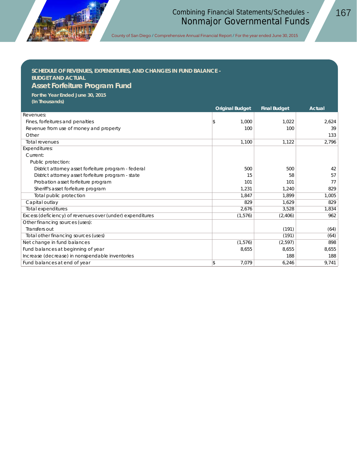

| SCHEDULE OF REVENUES, EXPENDITURES, AND CHANGES IN FUND BALANCE -<br><b>BUDGET AND ACTUAL</b><br><b>Asset Forfeiture Program Fund</b> |                        |                     |        |
|---------------------------------------------------------------------------------------------------------------------------------------|------------------------|---------------------|--------|
| For the Year Ended June 30, 2015                                                                                                      |                        |                     |        |
| (In Thousands)                                                                                                                        |                        |                     |        |
|                                                                                                                                       | <b>Original Budget</b> | <b>Final Budget</b> | Actual |
| Revenues:                                                                                                                             |                        |                     |        |
| Fines, forfeitures and penalties                                                                                                      | \$<br>1,000            | 1.022               | 2.624  |
| Revenue from use of money and property                                                                                                | 100                    | 100                 | 39     |
| Other                                                                                                                                 |                        |                     | 133    |
| Total revenues                                                                                                                        | 1,100                  | 1,122               | 2,796  |
| <b>Expenditures:</b>                                                                                                                  |                        |                     |        |
| Current:                                                                                                                              |                        |                     |        |
| Public protection:                                                                                                                    |                        |                     |        |
| District attorney asset forfeiture program - federal                                                                                  | 500                    | 500                 | 42     |
| District attorney asset forfeiture program - state                                                                                    | 15                     | 58                  | 57     |
| Probation asset forfeiture program                                                                                                    | 101                    | 101                 | 77     |
| Sheriff's asset forfeiture program                                                                                                    | 1,231                  | 1,240               | 829    |
| Total public protection                                                                                                               | 1.847                  | 1,899               | 1.005  |
| Capital outlay                                                                                                                        | 829                    | 1,629               | 829    |
| <b>Total expenditures</b>                                                                                                             | 2,676                  | 3,528               | 1,834  |
| Excess (deficiency) of revenues over (under) expenditures                                                                             | (1, 576)               | (2,406)             | 962    |
| Other financing sources (uses):                                                                                                       |                        |                     |        |
| Transfers out                                                                                                                         |                        | (191)               | (64)   |
| Total other financing sources (uses)                                                                                                  |                        | (191)               | (64)   |
| Net change in fund balances                                                                                                           | (1, 576)               | (2,597)             | 898    |
| Fund balances at beginning of year                                                                                                    | 8,655                  | 8.655               | 8.655  |
| Increase (decrease) in nonspendable inventories                                                                                       |                        | 188                 | 188    |
| Fund balances at end of year                                                                                                          | $\mathsf{\$}$<br>7.079 | 6.246               | 9,741  |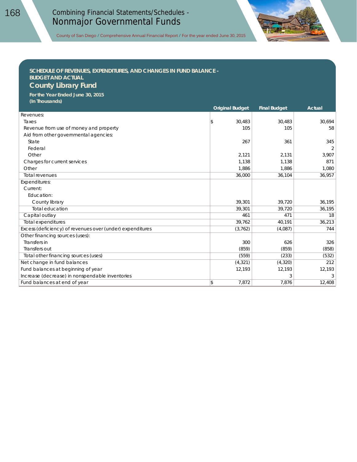| SCHEDULE OF REVENUES, EXPENDITURES, AND CHANGES IN FUND BALANCE - |                        |                     |        |
|-------------------------------------------------------------------|------------------------|---------------------|--------|
| <b>BUDGET AND ACTUAL</b>                                          |                        |                     |        |
| <b>County Library Fund</b>                                        |                        |                     |        |
|                                                                   |                        |                     |        |
| For the Year Ended June 30, 2015                                  |                        |                     |        |
| (In Thousands)                                                    |                        |                     |        |
|                                                                   | <b>Original Budget</b> | <b>Final Budget</b> | Actual |
| Revenues:                                                         |                        |                     |        |
| Taxes                                                             | 30,483<br>\$           | 30,483              | 30,694 |
| Revenue from use of money and property                            | 105                    | 105                 | 58     |
| Aid from other governmental agencies:                             |                        |                     |        |
| State                                                             | 267                    | 361                 | 345    |
| Federal                                                           |                        |                     |        |
| Other                                                             | 2,121                  | 2,131               | 3,907  |
| Charges for current services                                      | 1,138                  | 1,138               | 871    |
| Other                                                             | 1.886                  | 1,886               | 1,080  |
| <b>Total revenues</b>                                             | 36,000                 | 36,104              | 36,957 |
| Expenditures:                                                     |                        |                     |        |
| Current:                                                          |                        |                     |        |
| Education:                                                        |                        |                     |        |
| County library                                                    | 39,301                 | 39,720              | 36,195 |
| Total education                                                   | 39,301                 | 39,720              | 36,195 |
| Capital outlay                                                    | 461                    | 471                 | 18     |
| Total expenditures                                                | 39,762                 | 40,191              | 36,213 |
| Excess (deficiency) of revenues over (under) expenditures         | (3,762)                | (4,087)             | 744    |
| Other financing sources (uses):                                   |                        |                     |        |
| Transfers in                                                      | 300                    | 626                 | 326    |
| Transfers out                                                     | (859)                  | (859)               | (858)  |
| Total other financing sources (uses)                              | (559)                  | (233)               | (532)  |
| Net change in fund balances                                       | (4, 321)               | (4,320)             | 212    |
| Fund balances at beginning of year                                | 12,193                 | 12,193              | 12,193 |
| Increase (decrease) in nonspendable inventories                   |                        | 3                   | 3      |
| Fund balances at end of year                                      | $\mathsf{\$}$<br>7.872 | 7.876               | 12,408 |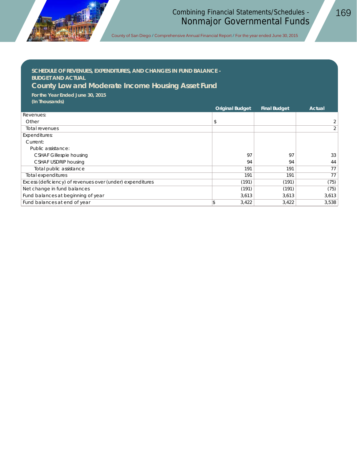

County of San Diego **/** Comprehensive Annual Financial Report **/** For the year ended June 30, 2015

## **SCHEDULE OF REVENUES, EXPENDITURES, AND CHANGES IN FUND BALANCE - BUDGET AND ACTUAL County Low and Moderate Income Housing Asset Fund**

|                                                           | <b>Original Budget</b> | <b>Final Budget</b> | Actual         |
|-----------------------------------------------------------|------------------------|---------------------|----------------|
| Revenues:                                                 |                        |                     |                |
| Other                                                     | \$                     |                     |                |
| Total revenues                                            |                        |                     | 2 <sup>1</sup> |
| Expenditures:                                             |                        |                     |                |
| Current:                                                  |                        |                     |                |
| Public assistance:                                        |                        |                     |                |
| <b>CSHAF Gillespie housing</b>                            | 97                     | 97                  | 33             |
| CSHAF USDRIP housing                                      | 94                     | 94                  | 44             |
| Total public assistance                                   | 191                    | 191                 | 77             |
| <b>Total expenditures</b>                                 | 191                    | 191                 | 77             |
| Excess (deficiency) of revenues over (under) expenditures | (191)                  | (191)               | (75)           |
| Net change in fund balances                               | (191)                  | (191)               | (75)           |
| Fund balances at beginning of year                        | 3,613                  | 3,613               | 3,613          |
| Fund balances at end of year                              | 3,422                  | 3,422               | 3,538          |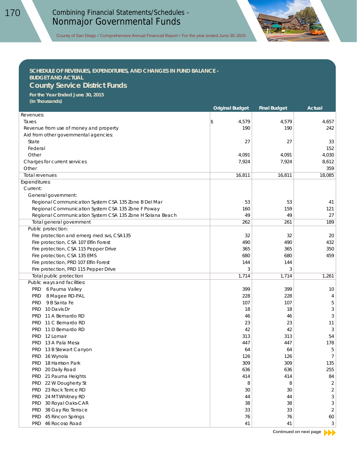| <b>SCHEDULE OF REVENUES, EXPENDITURES, AND CHANGES IN FUND BALANCE -</b><br><b>BUDGET AND ACTUAL</b><br><b>County Service District Funds</b> |                        |                     |                |
|----------------------------------------------------------------------------------------------------------------------------------------------|------------------------|---------------------|----------------|
| For the Year Ended June 30, 2015                                                                                                             |                        |                     |                |
| (In Thousands)                                                                                                                               |                        |                     |                |
|                                                                                                                                              | <b>Original Budget</b> | <b>Final Budget</b> | <b>Actual</b>  |
| Revenues:                                                                                                                                    |                        |                     |                |
| Taxes                                                                                                                                        | \$<br>4,579            | 4,579               | 4,657          |
| Revenue from use of money and property                                                                                                       | 190                    | 190                 | 242            |
| Aid from other governmental agencies:                                                                                                        |                        |                     |                |
| State                                                                                                                                        | 27                     | 27                  | 33             |
| Federal                                                                                                                                      |                        |                     | 152            |
| Other                                                                                                                                        | 4,091                  | 4,091               | 4,030          |
| Charges for current services                                                                                                                 | 7,924                  | 7,924               | 8,612          |
| Other                                                                                                                                        |                        |                     | 359            |
| <b>Total revenues</b>                                                                                                                        | 16,811                 | 16,811              | 18,085         |
| Expenditures:                                                                                                                                |                        |                     |                |
| Current:                                                                                                                                     |                        |                     |                |
| General government:                                                                                                                          |                        |                     |                |
| Regional Communication System CSA 135 Zone B Del Mar                                                                                         | 53                     | 53                  | 41             |
| Regional Communication System CSA 135 Zone F Poway                                                                                           | 160                    | 159                 | 121            |
| Regional Communication System CSA 135 Zone H Solana Beach                                                                                    | 49                     | 49                  | 27             |
| Total general government                                                                                                                     | 262                    | 261                 | 189            |
| Public protection:                                                                                                                           |                        |                     |                |
| Fire protection and emerg med svs, CSA135                                                                                                    | 32                     | 32                  | 20             |
| Fire protection, CSA 107 Elfin Forest                                                                                                        | 490                    | 490                 | 432            |
| Fire protection, CSA 115 Pepper Drive                                                                                                        | 365                    | 365                 | 350            |
| Fire protection, CSA 135 EMS                                                                                                                 | 680                    | 680                 | 459            |
| Fire protection, PRD 107 Elfin Forest                                                                                                        | 144                    | 144                 |                |
| Fire protection, PRD 115 Pepper Drive                                                                                                        | 3                      | 3                   |                |
| Total public protection                                                                                                                      | 1,714                  | 1,714               | 1,261          |
| Public ways and facilities:                                                                                                                  |                        |                     |                |
| PRD 6 Pauma Valley                                                                                                                           | 399                    | 399                 | 10             |
| PRD 8 Magee RD-PAL                                                                                                                           | 228                    | 228                 | 4              |
| PRD 9 B Santa Fe                                                                                                                             | 107                    | 107                 | 5              |
| PRD 10 Davis Dr                                                                                                                              | 18                     | 18                  | 3              |
| PRD 11 A Bernardo RD                                                                                                                         | 46                     | 46                  | $\sqrt{3}$     |
| PRD 11 C Bernardo RD                                                                                                                         | 23                     | 23                  | 11             |
| 11 D Bernardo RD<br><b>PRD</b>                                                                                                               | 42                     | 42                  | 3              |
| <b>PRD</b><br>12 Lomair<br><b>PRD</b><br>13 A Pala Mesa                                                                                      | 313<br>447             | 313<br>447          | 54<br>178      |
| PRD                                                                                                                                          | 64                     | 64                  | 5              |
| 13 B Stewart Canyon<br><b>PRD</b><br>16 Wynola                                                                                               | 126                    | 126                 | $\overline{7}$ |
| 18 Harrison Park<br><b>PRD</b>                                                                                                               | 309                    | 309                 | 135            |
| 20 Daily Road<br>PRD                                                                                                                         | 636                    | 636                 | 255            |
| 21 Pauma Heights<br>PRD                                                                                                                      | 414                    | 414                 | 84             |
| PRD 22 W Dougherty St                                                                                                                        | 8                      | 8                   | 2              |
| 23 Rock Terrce RD<br>PRD                                                                                                                     | 30                     | 30                  | $\overline{c}$ |
| 24 MT Whitney RD<br>PRD                                                                                                                      | 44                     | 44                  | 3              |
| PRD<br>30 Royal Oaks-CAR                                                                                                                     | 38                     | 38                  | 3              |
| 38 Gay Rio Terrace<br>PRD                                                                                                                    | 33                     | 33                  | $\overline{c}$ |
| 45 Rincon Springs<br>PRD                                                                                                                     | 76                     | 76                  | 60             |
| PRD 46 Rocoso Road                                                                                                                           | 41                     | 41                  | 3              |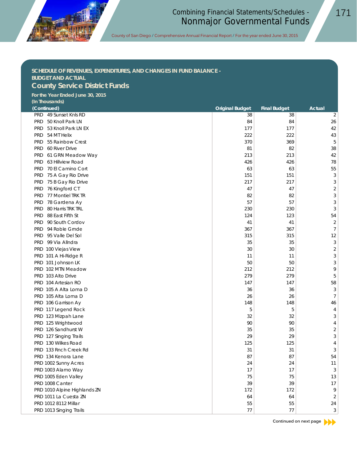

County of San Diego **/** Comprehensive Annual Financial Report **/** For the year ended June 30, 2015

## **SCHEDULE OF REVENUES, EXPENDITURES, AND CHANGES IN FUND BALANCE - BUDGET AND ACTUAL**

## **County Service District Funds**

**For the Year Ended June 30, 2015 (In Thousands)**

**(Continued) Original Budget Final Budget Actual** PRD 49 Sunset Knls RD 38 38 2 PRD 50 Knoll Park LN 84 84 26 PRD 53 Knoll Park LN EX 177 177 42 PRD 54 MT Helix  $222$   $43$ PRD 55 Rainbow Crest 370 369 5 PRD 60 River Drive  $\begin{array}{ccc} 81 & 82 \\ 82 & 38 \end{array}$ PRD 61 GRN Meadow Way 213 213 42 PRD 63 Hillview Road 426 28 Hillview Road 426 28 Hillview Road 426 28 Hillview Road 426 28 Hillview Road 426 28 Hills and 426 28 Hills and 426 28 Hills and 426 28 Hills and 426 28 Hills and 426 28 Hills and 426 28 Hills an PRD 70 El Camino Cort 63 63 55 PRD 75 A Gay Rio Drive 2012 151 2008 151 2009 151 2009 151 2009 151 2009 151 2009 151 2009 151 2009 151 2009 1 PRD 75 B Gay Rio Drive 217 217 217 PRD 76 Kingford CT 47 47 2 PRD 77 Montiel TRK TR 82 82 3 PRD 78 Gardena Ay  $\begin{array}{ccc} 3 & 57 & 57 \end{array}$ PRD 80 Harris TRK TRL 230 230 3 PRD 88 East Fifth St 124 123 54 PRD 90 South Cordov 2 PRD 94 Roble Grnde 367 367 7 PRD 95 Valle Del Sol 315 315 12 PRD 99 Via Allndra 35 35 3 PRD 100 Viejas View 30 30 2 PRD 101 A Hi-Ridge R 11 2 3 PRD 101 Johnson LK  $\overline{3}$ PRD 102 MTN Meadow 212 212 9 PRD 103 Alto Drive 279 279 5 PRD 104 Artesian RO 147 147 58 PRD 105 A Alta Loma D 36 36 3 PRD 105 Alta Loma D 26 26 26 26 26 26 27 PRD 106 Garrison Ay 148 148 46 PRD 117 Legend Rock  $\begin{array}{ccc} 4 & 5 & 5 \\ 4 & 17 & 17 \end{array}$ PRD 123 Mizpah Lane  $32 \hspace{1.5cm} 33$ PRD 125 Wrightwood 90 90 4 PRD 126 Sandhurst W  $\overline{2}$ PRD 127 Singing Trails 29 29 3 PRD 130 Wilkes Road 4 and 125 and 125 and 125 and 125 and 125 and 125 and 125 and 125 and 125 and 125 and 125 and 125 and 125 and 125 and 125 and 125 and 125 and 125 and 125 and 125 and 125 and 125 and 125 and 125 and 125 PRD 133 Rnch Creek Rd 31 31 3 PRD 134 Kenora Lane 87  $\vert$  87  $\vert$  87  $\vert$  87  $\vert$  87  $\vert$  87  $\vert$  87  $\vert$  87  $\vert$  87  $\vert$  87  $\vert$  87  $\vert$  87  $\vert$  87  $\vert$  87  $\vert$  87  $\vert$  87  $\vert$  87  $\vert$  87  $\vert$  87  $\vert$  87  $\vert$  87  $\vert$  87  $\vert$  87  $\vert$  87  $\vert$  87  $\vert$  8 PRD 1002 Sunny Acres 24 24 11 PRD 1003 Alamo Way 17 2 3 PRD 1005 Eden Valley 2008 13 PRD 1008 Canter 39 39 17 PRD 1010 Alpine Highlands ZN 172 172 9 PRD 1011 La Cuesta ZN 64 64 2 PRD 1012 8112 Millar 24 PRD 1013 Singing Trails 77 77 3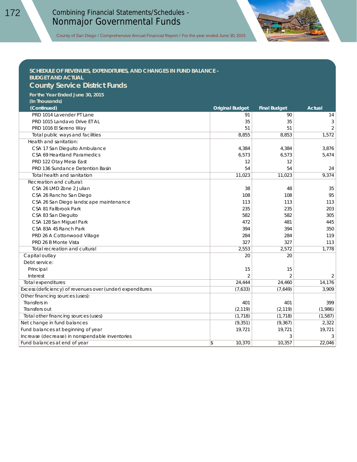County of San Diego **/** Comprehensive Annual Financial Report **/** For the year ended June 30, 2015

| SCHEDULE OF REVENUES, EXPENDITURES, AND CHANGES IN FUND BALANCE - |                         |                          |                |
|-------------------------------------------------------------------|-------------------------|--------------------------|----------------|
| <b>BUDGET AND ACTUAL</b>                                          |                         |                          |                |
| <b>County Service District Funds</b>                              |                         |                          |                |
| For the Year Ended June 30, 2015                                  |                         |                          |                |
| (In Thousands)                                                    |                         |                          |                |
| (Continued)                                                       | <b>Original Budget</b>  | <b>Final Budget</b>      | <b>Actual</b>  |
| PRD 1014 Lavender PT Lane                                         | 91                      | 90                       | 14             |
| PRD 1015 Landavo Drive ET AL                                      | 35                      | 35                       | 3              |
| PRD 1016 El Sereno Way                                            | 51                      | 51                       | $\overline{2}$ |
| Total public ways and facilities                                  | 8,855                   | 8,853                    | 1,572          |
| Health and sanitation:                                            |                         |                          |                |
| CSA 17 San Dieguito Ambulance                                     | 4,384                   | 4,384                    | 3,876          |
| CSA 69 Heartland Paramedics                                       | 6,573                   | 6,573                    | 5,474          |
| PRD 122 Otay Mesa East                                            | 12                      | 12                       |                |
| PRD 136 Sundance Detention Basin                                  | 54                      | 54                       | 24             |
| Total health and sanitation                                       | 11.023                  | 11.023                   | 9.374          |
| Recreation and cultural:                                          |                         |                          |                |
| CSA 26 LMD Zone 2 Julian                                          | 38                      | 48                       | 35             |
| CSA 26 Rancho San Diego                                           | 108                     | 108                      | 95             |
| CSA 26 San Diego landscape maintenance                            | 113                     | 113                      | 113            |
| CSA 81 Fallbrook Park                                             | 235                     | 235                      | 203            |
| CSA 83 San Dieguito                                               | 582                     | 582                      | 305            |
| CSA 128 San Miguel Park                                           | 472                     | 481                      | 445            |
| CSA 83A 4S Ranch Park                                             | 394                     | 394                      | 350            |
| PRD 26 A Cottonwood Village                                       | 284                     | 284                      | 119            |
| PRD 26 B Monte Vista                                              | 327                     | 327                      | 113            |
| Total recreation and cultural                                     | 2,553                   | 2,572                    | 1,778          |
| Capital outlay                                                    | 20                      | 20                       |                |
| Debt service:                                                     |                         |                          |                |
| Principal                                                         | 15                      | 15                       |                |
| Interest                                                          | $\overline{2}$          | $\overline{\mathcal{L}}$ | 2              |
| Total expenditures                                                | 24,444                  | 24,460                   | 14,176         |
| Excess (deficiency) of revenues over (under) expenditures         | (7,633)                 | (7,649)                  | 3,909          |
| Other financing sources (uses):                                   |                         |                          |                |
| Transfers in                                                      | 401                     | 401                      | 399            |
| Transfers out                                                     | (2, 119)                | (2, 119)                 | (1,986)        |
| Total other financing sources (uses)                              | (1, 718)                | (1, 718)                 | (1,587)        |
| Net change in fund balances                                       | (9, 351)                | (9, 367)                 | 2,322          |
| Fund balances at beginning of year                                | 19,721                  | 19,721                   | 19,721         |
| Increase (decrease) in nonspendable inventories                   |                         |                          |                |
| Fund balances at end of year                                      | $\mathsf{\$}$<br>10,370 | 10,357                   | 22,046         |

172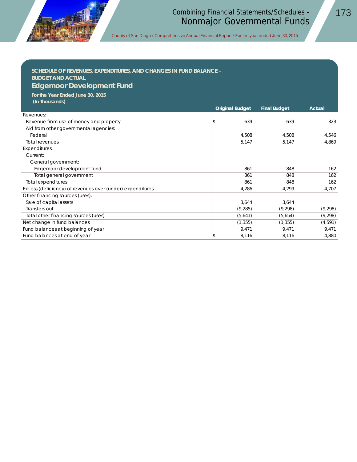

| SCHEDULE OF REVENUES, EXPENDITURES, AND CHANGES IN FUND BALANCE -<br><b>BUDGET AND ACTUAL</b><br><b>Edgemoor Development Fund</b> |                        |                     |          |
|-----------------------------------------------------------------------------------------------------------------------------------|------------------------|---------------------|----------|
| For the Year Ended June 30, 2015                                                                                                  |                        |                     |          |
| (In Thousands)                                                                                                                    | <b>Original Budget</b> | <b>Final Budget</b> | Actual   |
| Revenues:                                                                                                                         |                        |                     |          |
| Revenue from use of money and property                                                                                            | 639<br>\$              | 639                 | 323      |
| Aid from other governmental agencies:                                                                                             |                        |                     |          |
| Federal                                                                                                                           | 4,508                  | 4,508               | 4,546    |
| <b>Total revenues</b>                                                                                                             | 5,147                  | 5,147               | 4,869    |
| Expenditures:                                                                                                                     |                        |                     |          |
| Current:                                                                                                                          |                        |                     |          |
| General government:                                                                                                               |                        |                     |          |
| Edgemoor development fund                                                                                                         | 861                    | 848                 | 162      |
| Total general government                                                                                                          | 861                    | 848                 | 162      |
| Total expenditures                                                                                                                | 861                    | 848                 | 162      |
| Excess (deficiency) of revenues over (under) expenditures                                                                         | 4,286                  | 4,299               | 4,707    |
| Other financing sources (uses):                                                                                                   |                        |                     |          |
| Sale of capital assets                                                                                                            | 3.644                  | 3,644               |          |
| Transfers out                                                                                                                     | (9, 285)               | (9, 298)            | (9, 298) |
| Total other financing sources (uses)                                                                                              | (5,641)                | (5,654)             | (9, 298) |
| Net change in fund balances                                                                                                       | (1, 355)               | (1, 355)            | (4, 591) |
| Fund balances at beginning of year                                                                                                | 9,471                  | 9,471               | 9,471    |
| Fund balances at end of year                                                                                                      | \$<br>8,116            | 8,116               | 4,880    |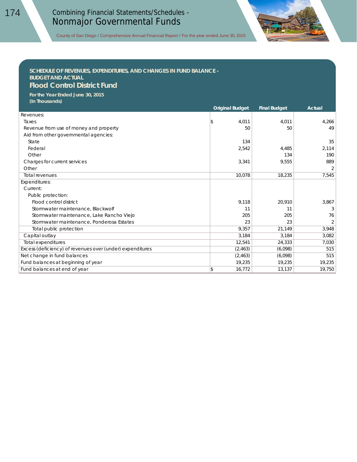| SCHEDULE OF REVENUES, EXPENDITURES, AND CHANGES IN FUND BALANCE -<br><b>BUDGET AND ACTUAL</b><br><b>Flood Control District Fund</b> |                        |                     |        |
|-------------------------------------------------------------------------------------------------------------------------------------|------------------------|---------------------|--------|
| For the Year Ended June 30, 2015                                                                                                    |                        |                     |        |
| (In Thousands)                                                                                                                      |                        |                     |        |
|                                                                                                                                     | <b>Original Budget</b> | <b>Final Budget</b> | Actual |
| Revenues:                                                                                                                           |                        |                     |        |
| Taxes                                                                                                                               | 4,011<br>\$            | 4.011               | 4.266  |
| Revenue from use of money and property                                                                                              | 50                     | 50                  | 49     |
| Aid from other governmental agencies:                                                                                               |                        |                     |        |
| State                                                                                                                               | 134                    |                     | 35     |
| Federal                                                                                                                             | 2,542                  | 4,485               | 2,114  |
| Other                                                                                                                               |                        | 134                 | 190    |
| Charges for current services                                                                                                        | 3,341                  | 9,555               | 889    |
| Other                                                                                                                               |                        |                     |        |
| <b>Total revenues</b>                                                                                                               | 10,078                 | 18,235              | 7,545  |
| Expenditures:                                                                                                                       |                        |                     |        |
| Current:                                                                                                                            |                        |                     |        |
| Public protection:                                                                                                                  |                        |                     |        |
| Flood control district                                                                                                              | 9,118                  | 20,910              | 3,867  |
| Stormwater maintenance, Blackwolf                                                                                                   | 11                     | 11                  | 3      |
| Stormwater maintenance, Lake Rancho Viejo                                                                                           | 205                    | 205                 | 76     |
| Stormwater maintenance, Ponderosa Estates                                                                                           | 23                     | 23                  | 2      |
| Total public protection                                                                                                             | 9,357                  | 21,149              | 3,948  |
| Capital outlay                                                                                                                      | 3,184                  | 3,184               | 3,082  |
| <b>Total expenditures</b>                                                                                                           | 12,541                 | 24,333              | 7,030  |
| Excess (deficiency) of revenues over (under) expenditures                                                                           | (2, 463)               | (6,098)             | 515    |
| Net change in fund balances                                                                                                         | (2, 463)               | (6,098)             | 515    |
| Fund balances at beginning of year                                                                                                  | 19,235                 | 19,235              | 19,235 |
| Fund balances at end of year                                                                                                        | \$<br>16,772           | 13,137              | 19,750 |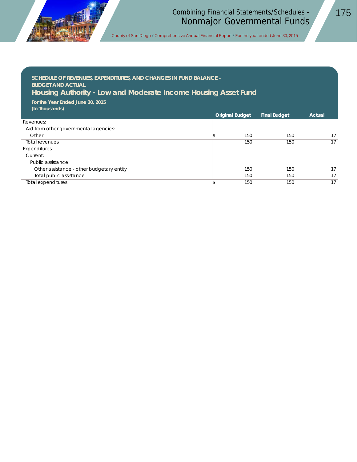

# **SCHEDULE OF REVENUES, EXPENDITURES, AND CHANGES IN FUND BALANCE - BUDGET AND ACTUAL**

# **Housing Authority - Low and Moderate Income Housing Asset Fund**

**For the Year Ended June 30, 2015**

**(In Thousands)**

|                                           | <b>Original Budget</b> | <b>Final Budget</b> | Actual |
|-------------------------------------------|------------------------|---------------------|--------|
| Revenues:                                 |                        |                     |        |
| Aid from other governmental agencies:     |                        |                     |        |
| Other                                     | 150                    | 150                 | 17     |
| Total revenues                            | 150                    | 150                 | 17     |
| Expenditures:                             |                        |                     |        |
| Current:                                  |                        |                     |        |
| Public assistance:                        |                        |                     |        |
| Other assistance - other budgetary entity | 150                    | 150                 | 17     |
| Total public assistance                   | 150                    | 150                 | 17     |
| Total expenditures                        | 150                    | 150                 | 17     |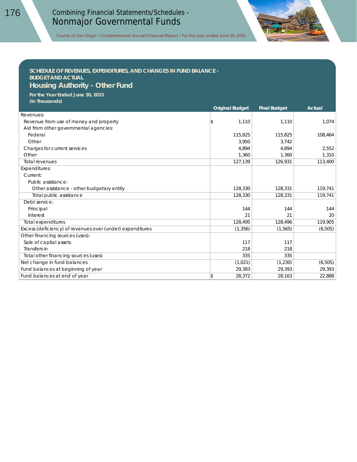| SCHEDULE OF REVENUES, EXPENDITURES, AND CHANGES IN FUND BALANCE - |                         |                     |          |
|-------------------------------------------------------------------|-------------------------|---------------------|----------|
| <b>BUDGET AND ACTUAL</b>                                          |                         |                     |          |
| <b>Housing Authority - Other Fund</b>                             |                         |                     |          |
|                                                                   |                         |                     |          |
| For the Year Ended June 30, 2015                                  |                         |                     |          |
| (In Thousands)                                                    |                         |                     |          |
|                                                                   | <b>Original Budget</b>  | <b>Final Budget</b> | Actual   |
| Revenues:                                                         |                         |                     |          |
| Revenue from use of money and property                            | 1.110<br>\$             | 1,110               | 1,074    |
| Aid from other governmental agencies:                             |                         |                     |          |
| Federal                                                           | 115,825                 | 115,825             | 108,464  |
| Other                                                             | 3,950                   | 3,742               |          |
| Charges for current services                                      | 4,894                   | 4,894               | 2,552    |
| Other                                                             | 1,360                   | 1,360               | 1,310    |
| <b>Total revenues</b>                                             | 127,139                 | 126,931             | 113,400  |
| Expenditures:                                                     |                         |                     |          |
| Current:                                                          |                         |                     |          |
| Public assistance:                                                |                         |                     |          |
| Other assistance - other budgetary entity                         | 128,330                 | 128,331             | 119,741  |
| Total public assistance                                           | 128,330                 | 128,331             | 119,741  |
| Debt service:                                                     |                         |                     |          |
| Principal                                                         | 144                     | 144                 | 144      |
| Interest                                                          | 21                      | 21                  | 20       |
| Total expenditures                                                | 128,495                 | 128,496             | 119,905  |
| Excess (deficiency) of revenues over (under) expenditures         | (1, 356)                | (1, 565)            | (6, 505) |
| Other financing sources (uses):                                   |                         |                     |          |
| Sale of capital assets                                            | 117                     | 117                 |          |
| Transfers in                                                      | 218                     | 218                 |          |
| Total other financing sources (uses)                              | 335                     | 335                 |          |
| Net change in fund balances                                       | (1,021)                 | (1, 230)            | (6, 505) |
| Fund balances at beginning of year                                | 29,393                  | 29,393              | 29,393   |
| Fund balances at end of year                                      | $\mathsf{\$}$<br>28,372 | 28,163              | 22,888   |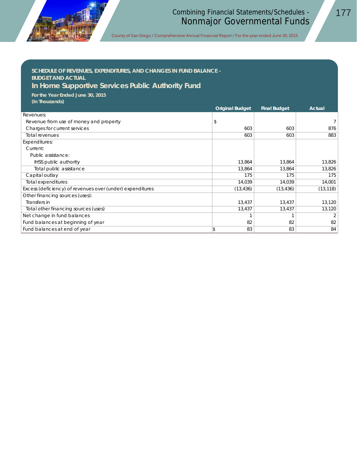

County of San Diego **/** Comprehensive Annual Financial Report **/** For the year ended June 30, 2015

# **SCHEDULE OF REVENUES, EXPENDITURES, AND CHANGES IN FUND BALANCE - BUDGET AND ACTUAL**

# **In Home Supportive Services Public Authority Fund**

|                                                           | <b>Original Budget</b> | <b>Final Budget</b> | Actual    |
|-----------------------------------------------------------|------------------------|---------------------|-----------|
| Revenues:                                                 |                        |                     |           |
| Revenue from use of money and property                    | \$                     |                     |           |
| Charges for current services                              | 603                    | 603                 | 876       |
| Total revenues                                            | 603                    | 603                 | 883       |
| Expenditures:                                             |                        |                     |           |
| Current:                                                  |                        |                     |           |
| Public assistance:                                        |                        |                     |           |
| IHSS public authority                                     | 13,864                 | 13,864              | 13,826    |
| Total public assistance                                   | 13,864                 | 13,864              | 13,826    |
| Capital outlay                                            | 175                    | 175                 | 175       |
| Total expenditures                                        | 14,039                 | 14,039              | 14,001    |
| Excess (deficiency) of revenues over (under) expenditures | (13, 436)              | (13, 436)           | (13, 118) |
| Other financing sources (uses):                           |                        |                     |           |
| Transfers in                                              | 13,437                 | 13,437              | 13,120    |
| Total other financing sources (uses)                      | 13,437                 | 13,437              | 13,120    |
| Net change in fund balances                               |                        |                     | 2         |
| Fund balances at beginning of year                        | 82                     | 82                  | 82        |
| Fund balances at end of year                              | 83                     | 83                  | 84        |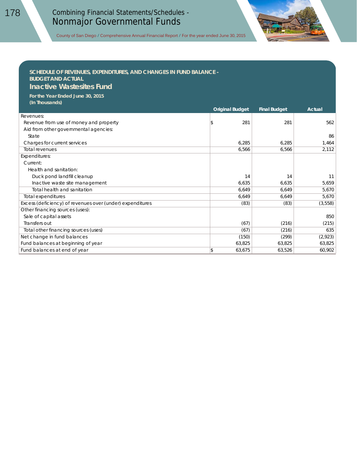| SCHEDULE OF REVENUES, EXPENDITURES, AND CHANGES IN FUND BALANCE -<br><b>BUDGET AND ACTUAL</b> |                        |                     |               |
|-----------------------------------------------------------------------------------------------|------------------------|---------------------|---------------|
| <b>Inactive Wastesites Fund</b>                                                               |                        |                     |               |
| For the Year Ended June 30, 2015<br>(In Thousands)                                            |                        |                     |               |
|                                                                                               | <b>Original Budget</b> | <b>Final Budget</b> | <b>Actual</b> |
| Revenues:                                                                                     |                        |                     |               |
| Revenue from use of money and property                                                        | 281<br>\$              | 281                 | 562           |
| Aid from other governmental agencies:                                                         |                        |                     |               |
| State                                                                                         |                        |                     | 86            |
| Charges for current services                                                                  | 6.285                  | 6,285               | 1,464         |
| <b>Total revenues</b>                                                                         | 6,566                  | 6,566               | 2,112         |
| Expenditures:                                                                                 |                        |                     |               |
| Current:                                                                                      |                        |                     |               |
| Health and sanitation:                                                                        |                        |                     |               |
| Duck pond landfill cleanup                                                                    | 14                     | 14                  | 11            |
| Inactive waste site management                                                                | 6,635                  | 6,635               | 5,659         |
| Total health and sanitation                                                                   | 6,649                  | 6,649               | 5,670         |
| Total expenditures                                                                            | 6,649                  | 6,649               | 5,670         |
| Excess (deficiency) of revenues over (under) expenditures                                     | (83)                   | (83)                | (3,558)       |
| Other financing sources (uses):                                                               |                        |                     |               |
| Sale of capital assets                                                                        |                        |                     | 850           |
| Transfers out                                                                                 | (67)                   | (216)               | (215)         |
| Total other financing sources (uses)                                                          | (67)                   | (216)               | 635           |
| Net change in fund balances                                                                   | (150)                  | (299)               | (2,923)       |
| Fund balances at beginning of year                                                            | 63,825                 | 63,825              | 63,825        |
| Fund balances at end of year                                                                  | \$<br>63.675           | 63.526              | 60,902        |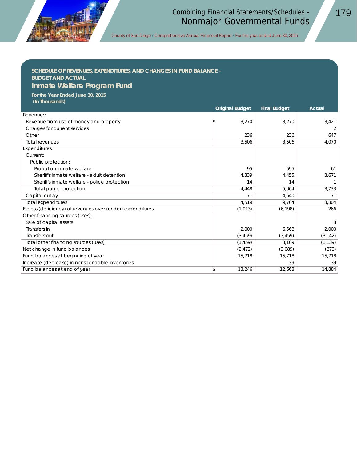

| SCHEDULE OF REVENUES, EXPENDITURES, AND CHANGES IN FUND BALANCE -<br><b>BUDGET AND ACTUAL</b><br>Inmate Welfare Program Fund |                                   |                     |          |
|------------------------------------------------------------------------------------------------------------------------------|-----------------------------------|---------------------|----------|
|                                                                                                                              |                                   |                     |          |
| For the Year Ended June 30, 2015                                                                                             |                                   |                     |          |
| (In Thousands)                                                                                                               | <b>Original Budget</b>            | <b>Final Budget</b> | Actual   |
| Revenues:                                                                                                                    |                                   |                     |          |
|                                                                                                                              | 3,270<br>\$                       | 3,270               | 3,421    |
| Revenue from use of money and property                                                                                       |                                   |                     |          |
| Charges for current services<br>Other                                                                                        | 236                               | 236                 | 647      |
| <b>Total revenues</b>                                                                                                        | 3,506                             | 3,506               | 4.070    |
|                                                                                                                              |                                   |                     |          |
| <b>Expenditures:</b><br>Current:                                                                                             |                                   |                     |          |
|                                                                                                                              |                                   |                     |          |
| Public protection:                                                                                                           |                                   |                     |          |
| Probation inmate welfare                                                                                                     | 95                                | 595                 | 61       |
| Sheriff's inmate welfare - adult detention                                                                                   | 4,339                             | 4,455               | 3,671    |
| Sheriff's inmate welfare - police protection                                                                                 | 14                                | 14                  |          |
| Total public protection                                                                                                      | 4.448                             | 5,064               | 3,733    |
| Capital outlay                                                                                                               | 71                                | 4,640               | 71       |
| <b>Total expenditures</b>                                                                                                    | 4,519                             | 9.704               | 3,804    |
| Excess (deficiency) of revenues over (under) expenditures                                                                    | (1,013)                           | (6, 198)            | 266      |
| Other financing sources (uses):                                                                                              |                                   |                     |          |
| Sale of capital assets                                                                                                       |                                   |                     | 3        |
| Transfers in                                                                                                                 | 2,000                             | 6,568               | 2,000    |
| Transfers out                                                                                                                | (3, 459)                          | (3, 459)            | (3, 142) |
| Total other financing sources (uses)                                                                                         | (1, 459)                          | 3,109               | (1, 139) |
| Net change in fund balances                                                                                                  | (2, 472)                          | (3,089)             | (873)    |
| Fund balances at beginning of year                                                                                           | 15,718                            | 15,718              | 15,718   |
| Increase (decrease) in nonspendable inventories                                                                              |                                   | 39                  | 39       |
| Fund balances at end of year                                                                                                 | 13.246<br>$\mathsf{\overline{S}}$ | 12.668              | 14.884   |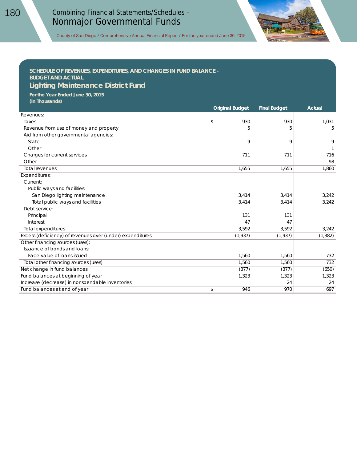| SCHEDULE OF REVENUES, EXPENDITURES, AND CHANGES IN FUND BALANCE -<br><b>BUDGET AND ACTUAL</b><br><b>Lighting Maintenance District Fund</b> |                        |                     |          |  |
|--------------------------------------------------------------------------------------------------------------------------------------------|------------------------|---------------------|----------|--|
| For the Year Ended June 30, 2015                                                                                                           |                        |                     |          |  |
| (In Thousands)                                                                                                                             |                        |                     |          |  |
|                                                                                                                                            | <b>Original Budget</b> | <b>Final Budget</b> | Actual   |  |
| Revenues:                                                                                                                                  |                        |                     |          |  |
| Taxes                                                                                                                                      | 930<br>$\mathfrak{S}$  | 930                 | 1,031    |  |
| Revenue from use of money and property                                                                                                     | 5                      | 5                   | 5        |  |
| Aid from other governmental agencies:                                                                                                      |                        |                     |          |  |
| State                                                                                                                                      | 9                      | 9                   | 9        |  |
| Other                                                                                                                                      |                        |                     |          |  |
| Charges for current services                                                                                                               | 711                    | 711                 | 716      |  |
| Other                                                                                                                                      |                        |                     | 98       |  |
| <b>Total revenues</b>                                                                                                                      | 1,655                  | 1,655               | 1,860    |  |
| <b>Expenditures:</b>                                                                                                                       |                        |                     |          |  |
| Current:                                                                                                                                   |                        |                     |          |  |
| Public ways and facilities:                                                                                                                |                        |                     |          |  |
| San Diego lighting maintenance                                                                                                             | 3,414                  | 3,414               | 3,242    |  |
| Total public ways and facilities                                                                                                           | 3,414                  | 3,414               | 3,242    |  |
| Debt service:                                                                                                                              |                        |                     |          |  |
| Principal                                                                                                                                  | 131                    | 131                 |          |  |
| Interest                                                                                                                                   | 47                     | 47                  |          |  |
| <b>Total expenditures</b>                                                                                                                  | 3,592                  | 3,592               | 3,242    |  |
| Excess (deficiency) of revenues over (under) expenditures                                                                                  | (1,937)                | (1,937)             | (1, 382) |  |
| Other financing sources (uses):                                                                                                            |                        |                     |          |  |
| Issuance of bonds and loans:                                                                                                               |                        |                     |          |  |
| Face value of loans issued                                                                                                                 | 1,560                  | 1,560               | 732      |  |
| Total other financing sources (uses)                                                                                                       | 1,560                  | 1,560               | 732      |  |
| Net change in fund balances                                                                                                                | (377)                  | (377)               | (650)    |  |
| Fund balances at beginning of year                                                                                                         | 1,323                  | 1,323               | 1,323    |  |
| Increase (decrease) in nonspendable inventories                                                                                            |                        | 24                  | 24       |  |
| Fund balances at end of year                                                                                                               | $\mathsf{\$}$<br>946   | 970                 | 697      |  |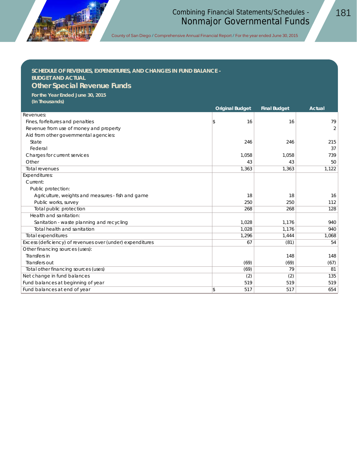

| SCHEDULE OF REVENUES, EXPENDITURES, AND CHANGES IN FUND BALANCE - |                                |                     |                |
|-------------------------------------------------------------------|--------------------------------|---------------------|----------------|
| <b>BUDGET AND ACTUAL</b>                                          |                                |                     |                |
| <b>Other Special Revenue Funds</b>                                |                                |                     |                |
| For the Year Ended June 30, 2015                                  |                                |                     |                |
| (In Thousands)                                                    |                                |                     |                |
|                                                                   | <b>Original Budget</b>         | <b>Final Budget</b> | Actual         |
| Revenues:                                                         |                                |                     |                |
| Fines, forfeitures and penalties                                  | 16<br>\$                       | 16                  | 79             |
| Revenue from use of money and property                            |                                |                     | $\overline{2}$ |
| Aid from other governmental agencies:                             |                                |                     |                |
| State                                                             | 246                            | 246                 | 215            |
| Federal                                                           |                                |                     | 37             |
| Charges for current services                                      | 1,058                          | 1,058               | 739            |
| Other                                                             | 43                             | 43                  | 50             |
| <b>Total revenues</b>                                             | 1,363                          | 1,363               | 1,122          |
| <b>Expenditures:</b>                                              |                                |                     |                |
| Current:                                                          |                                |                     |                |
| Public protection:                                                |                                |                     |                |
| Agriculture, weights and measures - fish and game                 | 18                             | 18                  | 16             |
| Public works, survey                                              | 250                            | 250                 | 112            |
| Total public protection                                           | 268                            | 268                 | 128            |
| Health and sanitation:                                            |                                |                     |                |
| Sanitation - waste planning and recycling                         | 1,028                          | 1,176               | 940            |
| Total health and sanitation                                       | 1,028                          | 1,176               | 940            |
| Total expenditures                                                | 1,296                          | 1,444               | 1,068          |
| Excess (deficiency) of revenues over (under) expenditures         | 67                             | (81)                | 54             |
| Other financing sources (uses):                                   |                                |                     |                |
| Transfers in                                                      |                                | 148                 | 148            |
| Transfers out                                                     | (69)                           | (69)                | (67)           |
| Total other financing sources (uses)                              | (69)                           | 79                  | 81             |
| Net change in fund balances                                       | (2)                            | (2)                 | 135            |
| Fund balances at beginning of year                                | 519                            | 519                 | 519            |
| Fund balances at end of year                                      | $\overline{\mathsf{S}}$<br>517 | 517                 | 654            |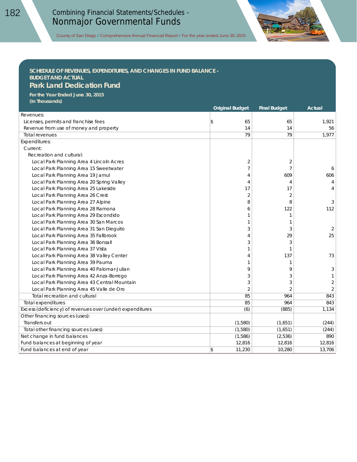| SCHEDULE OF REVENUES, EXPENDITURES, AND CHANGES IN FUND BALANCE - |                        |                     |                |
|-------------------------------------------------------------------|------------------------|---------------------|----------------|
| <b>BUDGET AND ACTUAL</b>                                          |                        |                     |                |
| <b>Park Land Dedication Fund</b>                                  |                        |                     |                |
| For the Year Ended June 30, 2015                                  |                        |                     |                |
| (In Thousands)                                                    |                        |                     |                |
|                                                                   | <b>Original Budget</b> | <b>Final Budget</b> | Actual         |
| Revenues:                                                         |                        |                     |                |
| Licenses, permits and franchise fees                              | \$<br>65               | 65                  | 1,921          |
| Revenue from use of money and property                            | 14                     | 14                  | 56             |
| Total revenues                                                    | 79                     | 79                  | 1,977          |
| Expenditures:                                                     |                        |                     |                |
| Current:                                                          |                        |                     |                |
| Recreation and cultural:                                          |                        |                     |                |
| Local Park Planning Area 4 Lincoln Acres                          | 2                      | 2                   |                |
| Local Park Planning Area 15 Sweetwater                            | $\overline{7}$         | 7                   | 6              |
| Local Park Planning Area 19 Jamul                                 | 4                      | 609                 | 606            |
| Local Park Planning Area 20 Spring Valley                         | 4                      | 4                   | 4              |
| Local Park Planning Area 25 Lakeside                              | 17                     | 17                  | 4              |
| Local Park Planning Area 26 Crest                                 | $\overline{2}$         | $\overline{2}$      |                |
| Local Park Planning Area 27 Alpine                                | 8                      | 8                   | 3              |
| Local Park Planning Area 28 Ramona                                | 6                      | 122                 | 112            |
| Local Park Planning Area 29 Escondido                             | 1                      | 1                   |                |
| Local Park Planning Area 30 San Marcos                            | 1                      | 1                   |                |
| Local Park Planning Area 31 San Dieguito                          | 3                      | 3                   | 2              |
| Local Park Planning Area 35 Fallbrook                             | 4                      | 29                  | 25             |
| Local Park Planning Area 36 Bonsall                               | 3                      | 3                   |                |
| Local Park Planning Area 37 Vista                                 | 1                      | $\mathbf{1}$        |                |
| Local Park Planning Area 38 Valley Center                         | 4                      | 137                 | 73             |
| Local Park Planning Area 39 Pauma                                 | 1                      | $\mathbf{1}$        |                |
| Local Park Planning Area 40 Palomar-Julian                        | 9                      | 9                   | 3              |
| Local Park Planning Area 42 Anza-Borrego                          | 3                      | 3                   | 1              |
| Local Park Planning Area 43 Central Mountain                      | 3                      | 3                   | $\overline{c}$ |
| Local Park Planning Area 45 Valle de Oro                          | $\overline{2}$         | $\overline{2}$      | $\overline{c}$ |
| Total recreation and cultural                                     | 85                     | 964                 | 843            |
| Total expenditures                                                | 85                     | 964                 | 843            |
| Excess (deficiency) of revenues over (under) expenditures         | $\overline{(6)}$       | (885)               | 1,134          |
| Other financing sources (uses):                                   |                        |                     |                |
| Transfers out                                                     | (1,580)                | (1,651)             | (244)          |
| Total other financing sources (uses)                              | (1,580)                | (1,651)             | (244)          |
| Net change in fund balances                                       | (1,586)                | (2,536)             | 890            |
| Fund balances at beginning of year                                | 12,816                 | 12,816              | 12,816         |
| Fund balances at end of year                                      | \$<br>11,230           | 10,280              | 13,706         |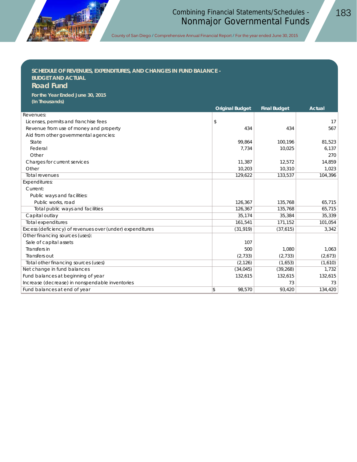

| SCHEDULE OF REVENUES, EXPENDITURES, AND CHANGES IN FUND BALANCE -<br><b>BUDGET AND ACTUAL</b><br><b>Road Fund</b> |                         |                     |         |
|-------------------------------------------------------------------------------------------------------------------|-------------------------|---------------------|---------|
| For the Year Ended June 30, 2015<br>(In Thousands)                                                                |                         |                     |         |
|                                                                                                                   | <b>Original Budget</b>  | <b>Final Budget</b> | Actual  |
| Revenues:                                                                                                         |                         |                     |         |
| Licenses, permits and franchise fees                                                                              | \$                      |                     | 17      |
| Revenue from use of money and property                                                                            | 434                     | 434                 | 567     |
| Aid from other governmental agencies:                                                                             |                         |                     |         |
| State                                                                                                             | 99.864                  | 100.196             | 81,523  |
| Federal                                                                                                           | 7,734                   | 10,025              | 6,137   |
| Other                                                                                                             |                         |                     | 270     |
| Charges for current services                                                                                      | 11,387                  | 12,572              | 14,859  |
| Other                                                                                                             | 10,203                  | 10,310              | 1,023   |
| <b>Total revenues</b>                                                                                             | 129,622                 | 133,537             | 104,396 |
| <b>Expenditures:</b>                                                                                              |                         |                     |         |
| Current:                                                                                                          |                         |                     |         |
| Public ways and facilities:                                                                                       |                         |                     |         |
| Public works, road                                                                                                | 126,367                 | 135,768             | 65,715  |
| Total public ways and facilities                                                                                  | 126,367                 | 135,768             | 65,715  |
| Capital outlay                                                                                                    | 35,174                  | 35,384              | 35,339  |
| <b>Total expenditures</b>                                                                                         | 161,541                 | 171,152             | 101,054 |
| Excess (deficiency) of revenues over (under) expenditures                                                         | (31, 919)               | (37,615)            | 3,342   |
| Other financing sources (uses):                                                                                   |                         |                     |         |
| Sale of capital assets                                                                                            | 107                     |                     |         |
| Transfers in                                                                                                      | 500                     | 1,080               | 1,063   |
| Transfers out                                                                                                     | (2,733)                 | (2,733)             | (2,673) |
| Total other financing sources (uses)                                                                              | (2, 126)                | (1,653)             | (1,610) |
| Net change in fund balances                                                                                       | (34, 045)               | (39, 268)           | 1,732   |
| Fund balances at beginning of year                                                                                | 132,615                 | 132,615             | 132,615 |
| Increase (decrease) in nonspendable inventories                                                                   |                         | 73                  | 73      |
| Fund balances at end of year                                                                                      | $\mathsf{\$}$<br>98,570 | 93,420              | 134,420 |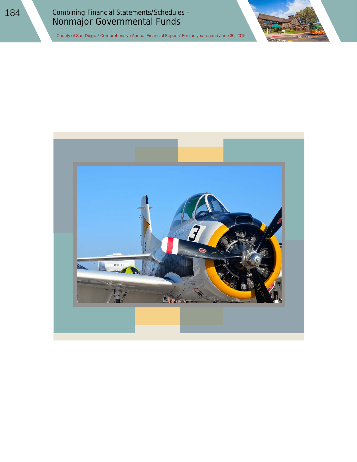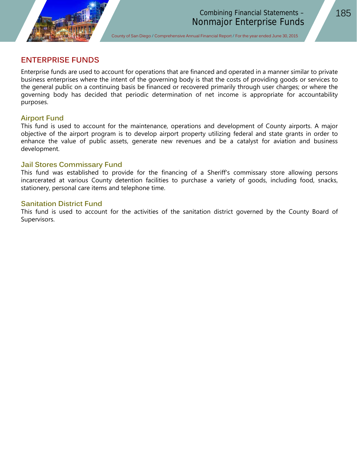

# **ENTERPRISE FUNDS**

Enterprise funds are used to account for operations that are financed and operated in a manner similar to private business enterprises where the intent of the governing body is that the costs of providing goods or services to the general public on a continuing basis be financed or recovered primarily through user charges; or where the governing body has decided that periodic determination of net income is appropriate for accountability purposes.

# **Airport Fund**

This fund is used to account for the maintenance, operations and development of County airports. A major objective of the airport program is to develop airport property utilizing federal and state grants in order to enhance the value of public assets, generate new revenues and be a catalyst for aviation and business development.

# **Jail Stores Commissary Fund**

This fund was established to provide for the financing of a Sheriff's commissary store allowing persons incarcerated at various County detention facilities to purchase a variety of goods, including food, snacks, stationery, personal care items and telephone time.

# **Sanitation District Fund**

This fund is used to account for the activities of the sanitation district governed by the County Board of Supervisors.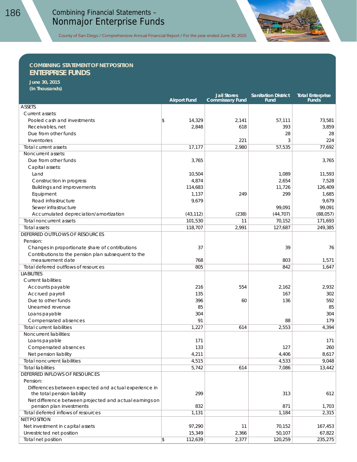#### **COMBINING STATEMENT OF NET POSITION ENTERPRISE FUNDS**

**June 30, 2015 (In Thousands)**

|                                                         | <b>Airport Fund</b>     | <b>Jail Stores</b><br><b>Commissary Fund</b> | <b>Sanitation District</b><br>Fund | <b>Total Enterprise</b><br><b>Funds</b> |
|---------------------------------------------------------|-------------------------|----------------------------------------------|------------------------------------|-----------------------------------------|
| <b>ASSETS</b>                                           |                         |                                              |                                    |                                         |
| Current assets:                                         |                         |                                              |                                    |                                         |
| Pooled cash and investments                             | $\mathsf{\$}$<br>14,329 | 2,141                                        | 57,111                             | 73,581                                  |
| Receivables, net                                        | 2,848                   | 618                                          | 393                                | 3,859                                   |
| Due from other funds                                    |                         |                                              | 28                                 | 28                                      |
| Inventories                                             |                         | 221                                          | 3                                  | 224                                     |
| Total current assets                                    | 17,177                  | 2,980                                        | 57,535                             | 77,692                                  |
| Noncurrent assets:                                      |                         |                                              |                                    |                                         |
| Due from other funds                                    | 3,765                   |                                              |                                    | 3,765                                   |
| Capital assets:                                         |                         |                                              |                                    |                                         |
| Land                                                    | 10.504                  |                                              | 1,089                              | 11,593                                  |
|                                                         | 4,874                   |                                              |                                    |                                         |
| Construction in progress                                |                         |                                              | 2,654                              | 7,528                                   |
| <b>Buildings and improvements</b>                       | 114,683                 |                                              | 11,726                             | 126,409                                 |
| Equipment                                               | 1,137                   | 249                                          | 299                                | 1,685                                   |
| Road infrastructure                                     | 9,679                   |                                              |                                    | 9,679                                   |
| Sewer infrastructure                                    |                         |                                              | 99,091                             | 99,091                                  |
| Accumulated depreciation/amortization                   | (43, 112)               | (238)                                        | (44, 707)                          | (88,057)                                |
| Total noncurrent assets                                 | 101,530                 | 11                                           | 70,152                             | 171,693                                 |
| <b>Total assets</b>                                     | 118,707                 | 2,991                                        | 127,687                            | 249,385                                 |
| DEFERRED OUTFLOWS OF RESOURCES                          |                         |                                              |                                    |                                         |
| Pension:                                                |                         |                                              |                                    |                                         |
| Changes in proportionate share of contributions         | 37                      |                                              | 39                                 | 76                                      |
| Contributions to the pension plan subsequent to the     |                         |                                              |                                    |                                         |
| measurement date                                        | 768                     |                                              | 803                                | 1,571                                   |
| Total deferred outflows of resources                    | 805                     |                                              | 842                                | 1,647                                   |
| <b>LIABILITIES</b>                                      |                         |                                              |                                    |                                         |
| <b>Current liabilities:</b>                             |                         |                                              |                                    |                                         |
| Accounts payable                                        | 216                     | 554                                          | 2,162                              | 2,932                                   |
| Accrued payroll                                         | 135                     |                                              | 167                                | 302                                     |
| Due to other funds                                      | 396                     | 60                                           | 136                                | 592                                     |
| Unearned revenue                                        | 85                      |                                              |                                    | 85                                      |
| Loans payable                                           | 304                     |                                              |                                    | 304                                     |
| Compensated absences                                    | 91                      |                                              | 88                                 | 179                                     |
| <b>Total current liabilities</b>                        | 1,227                   | 614                                          | 2,553                              | 4,394                                   |
| Noncurrent liabilities:                                 |                         |                                              |                                    |                                         |
| Loans payable                                           | 171                     |                                              |                                    | 171                                     |
| Compensated absences                                    | 133                     |                                              | 127                                | 260                                     |
| Net pension liability                                   | 4,211                   |                                              | 4,406                              | 8,617                                   |
| <b>Total noncurrent liabilities</b>                     | 4,515                   |                                              | 4,533                              | 9,048                                   |
| <b>Total liabilities</b>                                | 5,742                   | 614                                          | 7,086                              | 13,442                                  |
| DEFERRED INFLOWS OF RESOURCES                           |                         |                                              |                                    |                                         |
| Pension:                                                |                         |                                              |                                    |                                         |
| Differences between expected and actual experience in   |                         |                                              |                                    |                                         |
| the total pension liability                             | 299                     |                                              | 313                                | 612                                     |
| Net difference between projected and actual earnings on |                         |                                              |                                    |                                         |
| pension plan investments                                | 832                     |                                              | 871                                | 1,703                                   |
| Total deferred inflows of resources                     | 1,131                   |                                              | 1,184                              | 2,315                                   |
| <b>NET POSITION</b>                                     |                         |                                              |                                    |                                         |
| Net investment in capital assets                        | 97,290                  | 11                                           | 70,152                             | 167,453                                 |
| Unrestricted net position                               | 15,349                  | 2,366                                        | 50,107                             | 67,822                                  |
| Total net position                                      | $\sqrt{2}$<br>112,639   | 2,377                                        | 120,259                            | 235,275                                 |
|                                                         |                         |                                              |                                    |                                         |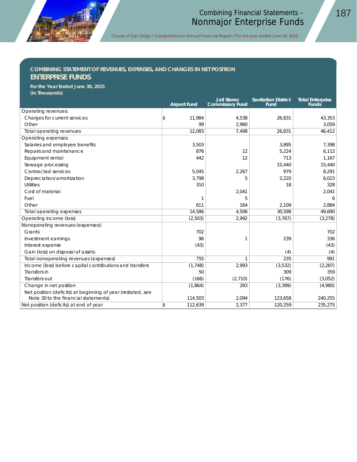

# Combining Financial Statements – Nonmajor Enterprise Funds

County of San Diego **/** Comprehensive Annual Financial Report **/** For the year ended June 30, 2015

## **COMBINING STATEMENT OF REVENUES, EXPENSES, AND CHANGES IN NET POSITION ENTERPRISE FUNDS**

|                                                             | <b>Airport Fund</b> | <b>Jail Stores</b><br><b>Commissary Fund</b> | <b>Sanitation District</b><br>Fund | <b>Total Enterprise</b><br><b>Funds</b> |
|-------------------------------------------------------------|---------------------|----------------------------------------------|------------------------------------|-----------------------------------------|
| Operating revenues:                                         |                     |                                              |                                    |                                         |
| Charges for current services                                | 11,984<br>\$        | 4,538                                        | 26,831                             | 43,353                                  |
| Other                                                       | 99                  | 2,960                                        |                                    | 3,059                                   |
| Total operating revenues                                    | 12,083              | 7,498                                        | 26.831                             | 46,412                                  |
| Operating expenses:                                         |                     |                                              |                                    |                                         |
| Salaries and employee benefits                              | 3,503               |                                              | 3,895                              | 7,398                                   |
| Repairs and maintenance                                     | 876                 | 12                                           | 5,224                              | 6,112                                   |
| Equipment rental                                            | 442                 | 12                                           | 713                                | 1,167                                   |
| Sewage processing                                           |                     |                                              | 15,440                             | 15,440                                  |
| Contracted services                                         | 5.045               | 2,267                                        | 979                                | 8,291                                   |
| Depreciation/amortization                                   | 3,798               | 5                                            | 2,220                              | 6,023                                   |
| <b>Utilities</b>                                            | 310                 |                                              | 18                                 | 328                                     |
| Cost of material                                            |                     | 2,041                                        |                                    | 2,041                                   |
| Fuel                                                        |                     | 5                                            |                                    | 6                                       |
| Other                                                       | 611                 | 164                                          | 2,109                              | 2,884                                   |
| Total operating expenses                                    | 14.586              | 4,506                                        | 30.598                             | 49.690                                  |
| Operating income (loss)                                     | (2,503)             | 2,992                                        | (3,767)                            | (3, 278)                                |
| Nonoperating revenues (expenses):                           |                     |                                              |                                    |                                         |
| Grants                                                      | 702                 |                                              |                                    | 702                                     |
| Investment earnings                                         | 96                  |                                              | 239                                | 336                                     |
| Interest expense                                            | (43)                |                                              |                                    | (43)                                    |
| Gain (loss) on disposal of assets                           |                     |                                              | (4)                                | (4)                                     |
| Total nonoperating revenues (expenses)                      | 755                 | 1                                            | 235                                | 991                                     |
| Income (loss) before capital contributions and transfers    | (1,748)             | 2,993                                        | (3,532)                            | (2, 287)                                |
| Transfers in                                                | 50                  |                                              | 309                                | 359                                     |
| Transfers out                                               | (166)               | (2,710)                                      | (176)                              | (3,052)                                 |
| Change in net position                                      | (1,864)             | 283                                          | (3,399)                            | (4,980)                                 |
| Net position (deficits) at beginning of year (restated, see |                     |                                              |                                    |                                         |
| Note 30 to the financial statements)                        | 114,503             | 2,094                                        | 123,658                            | 240,255                                 |
| Net position (deficits) at end of year                      | \$<br>112,639       | 2,377                                        | 120,259                            | 235,275                                 |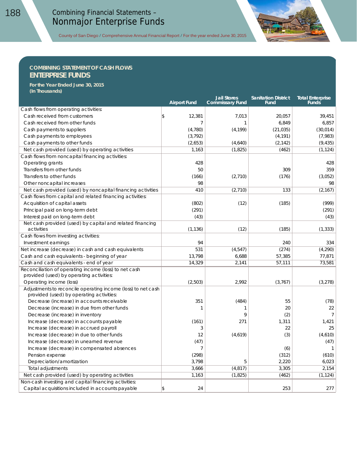# **COMBINING STATEMENT OF CASH FLOWS ENTERPRISE FUNDS**

|                                                              | <b>Airport Fund</b>     | <b>Jail Stores</b>     | <b>Sanitation District</b><br>Fund | <b>Total Enterprise</b><br><b>Funds</b> |
|--------------------------------------------------------------|-------------------------|------------------------|------------------------------------|-----------------------------------------|
|                                                              |                         | <b>Commissary Fund</b> |                                    |                                         |
| Cash flows from operating activities:                        | $\overline{\mathsf{s}}$ |                        |                                    |                                         |
| Cash received from customers                                 | 12,381                  | 7,013                  | 20,057                             | 39,451                                  |
| Cash received from other funds                               | $\overline{7}$          | 1                      | 6,849                              | 6,857                                   |
| Cash payments to suppliers                                   | (4,780)                 | (4, 199)               | (21, 035)                          | (30,014)                                |
| Cash payments to employees                                   | (3, 792)                |                        | (4, 191)                           | (7,983)                                 |
| Cash payments to other funds                                 | (2,653)                 | (4,640)                | (2, 142)                           | (9, 435)                                |
| Net cash provided (used) by operating activities             | 1,163                   | (1,825)                | (462)                              | (1, 124)                                |
| Cash flows from noncapital financing activities:             |                         |                        |                                    |                                         |
| Operating grants                                             | 428                     |                        |                                    | 428                                     |
| Transfers from other funds                                   | 50                      |                        | 309                                | 359                                     |
| Transfers to other funds                                     | (166)                   | (2,710)                | (176)                              | (3,052)                                 |
| Other noncapital increases                                   | 98                      |                        |                                    | 98                                      |
| Net cash provided (used) by noncapital financing activities  | 410                     | (2,710)                | 133                                | (2, 167)                                |
| Cash flows from capital and related financing activities:    |                         |                        |                                    |                                         |
| Acquisition of capital assets                                | (802)                   | (12)                   | (185)                              | (999)                                   |
| Principal paid on long-term debt                             | (291)                   |                        |                                    | (291)                                   |
| Interest paid on long-term debt                              | (43)                    |                        |                                    | (43)                                    |
| Net cash provided (used) by capital and related financing    |                         |                        |                                    |                                         |
| activities                                                   | (1, 136)                | (12)                   | (185)                              | (1, 333)                                |
| Cash flows from investing activities:                        |                         |                        |                                    |                                         |
| Investment earnings                                          | 94                      |                        | 240                                | 334                                     |
| Net increase (decrease) in cash and cash equivalents         | 531                     | (4, 547)               | (274)                              | (4,290)                                 |
| Cash and cash equivalents - beginning of year                | 13,798                  | 6,688                  | 57,385                             | 77,871                                  |
| Cash and cash equivalents - end of year                      | 14,329                  | 2,141                  | 57,111                             | 73,581                                  |
| Reconciliation of operating income (loss) to net cash        |                         |                        |                                    |                                         |
| provided (used) by operating activities:                     |                         |                        |                                    |                                         |
| Operating income (loss)                                      | (2,503)                 | 2,992                  | (3,767)                            | (3, 278)                                |
| Adjustments to reconcile operating income (loss) to net cash |                         |                        |                                    |                                         |
| provided (used) by operating activities:                     |                         |                        |                                    |                                         |
| Decrease (increase) in accounts receivable                   | 351                     | (484)                  | 55                                 | (78)                                    |
| Decrease (increase) in due from other funds                  | 1                       | 1                      | 20                                 | 22                                      |
| Decrease (increase) in inventory                             |                         | 9                      | (2)                                |                                         |
| Increase (decrease) in accounts payable                      | (161)                   | 271                    | 1,311                              | 1,421                                   |
| Increase (decrease) in accrued payroll                       | 3                       |                        | 22                                 | 25                                      |
| Increase (decrease) in due to other funds                    | 12                      | (4,619)                | (3)                                | (4,610)                                 |
| Increase (decrease) in unearned revenue                      | (47)                    |                        |                                    | (47)                                    |
| Increase (decrease) in compensated absences                  | $\overline{7}$          |                        | (6)                                | -1                                      |
| Pension expense                                              | (298)                   |                        | (312)                              | (610)                                   |
| Depreciation/amortization                                    | 3,798                   | 5                      | 2,220                              | 6,023                                   |
| Total adjustments                                            | 3,666                   | (4, 817)               | 3,305                              | 2,154                                   |
| Net cash provided (used) by operating activities             | 1,163                   | (1,825)                | (462)                              | (1, 124)                                |
| Non-cash investing and capital financing activities:         |                         |                        |                                    |                                         |
|                                                              |                         |                        |                                    |                                         |
| Capital acquisitions included in accounts payable            | $\frac{1}{2}$<br>24     |                        | 253                                | 277                                     |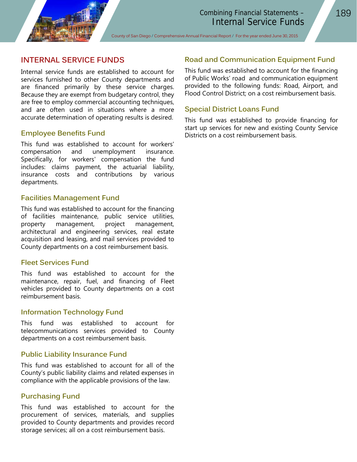

# **INTERNAL SERVICE FUNDS**

Internal service funds are established to account for services furnished to other County departments and are financed primarily by these service charges. Because they are exempt from budgetary control, they are free to employ commercial accounting techniques, and are often used in situations where a more accurate determination of operating results is desired.

#### **Employee Benefits Fund**

This fund was established to account for workers' compensation and unemployment insurance. Specifically, for workers' compensation the fund includes: claims payment, the actuarial liability, insurance costs and contributions by various departments.

#### **Facilities Management Fund**

This fund was established to account for the financing of facilities maintenance, public service utilities, property management, project management, architectural and engineering services, real estate acquisition and leasing, and mail services provided to County departments on a cost reimbursement basis.

## **Fleet Services Fund**

This fund was established to account for the maintenance, repair, fuel, and financing of Fleet vehicles provided to County departments on a cost reimbursement basis.

#### **Information Technology Fund**

This fund was established to account for telecommunications services provided to County departments on a cost reimbursement basis.

#### **Public Liability Insurance Fund**

This fund was established to account for all of the County's public liability claims and related expenses in compliance with the applicable provisions of the law.

## **Purchasing Fund**

This fund was established to account for the procurement of services, materials, and supplies provided to County departments and provides record storage services; all on a cost reimbursement basis.

## **Road and Communication Equipment Fund**

This fund was established to account for the financing of Public Works' road and communication equipment provided to the following funds: Road, Airport, and Flood Control District; on a cost reimbursement basis.

# **Special District Loans Fund**

This fund was established to provide financing for start up services for new and existing County Service Districts on a cost reimbursement basis.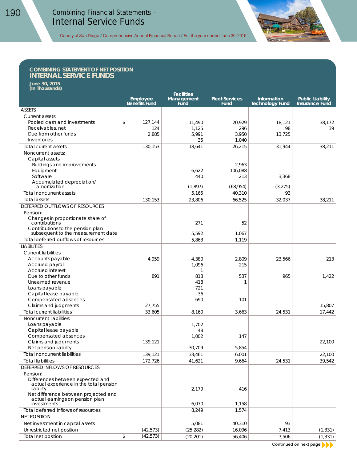#### **COMBINING STATEMENT OF NET POSITION INTERNAL SERVICE FUNDS**

**June 30, 2015 (In Thousands)**

|                                                                         |                                  | <b>Facilities</b>  |                               |                                       |                                                  |
|-------------------------------------------------------------------------|----------------------------------|--------------------|-------------------------------|---------------------------------------|--------------------------------------------------|
|                                                                         | Employee<br><b>Benefits Fund</b> | Management<br>Fund | <b>Fleet Services</b><br>Fund | Information<br><b>Technology Fund</b> | <b>Public Liability</b><br><b>Insurance Fund</b> |
| <b>ASSETS</b>                                                           |                                  |                    |                               |                                       |                                                  |
| Current assets:                                                         |                                  |                    |                               |                                       |                                                  |
| Pooled cash and investments                                             | \$<br>127.144                    | 11,490             | 20,929                        | 18,121                                | 38,172                                           |
| Receivables, net                                                        | 124                              | 1,125              | 296                           | 98                                    | 39                                               |
| Due from other funds                                                    | 2,885                            | 5,991              | 3,950                         | 13,725                                |                                                  |
| Inventories                                                             |                                  | 35                 | 1,040                         |                                       |                                                  |
| Total current assets                                                    | 130,153                          | 18,641             | 26,215                        | 31,944                                | 38,211                                           |
| Noncurrent assets:                                                      |                                  |                    |                               |                                       |                                                  |
| Capital assets:                                                         |                                  |                    |                               |                                       |                                                  |
| <b>Buildings and improvements</b>                                       |                                  |                    | 2,963                         |                                       |                                                  |
| Equipment                                                               |                                  | 6,622              | 106.088                       |                                       |                                                  |
| Software                                                                |                                  | 440                | 213                           | 3,368                                 |                                                  |
| Accumulated depreciation/                                               |                                  |                    |                               |                                       |                                                  |
| amortization                                                            |                                  | (1,897)            | (68,954)                      | (3, 275)                              |                                                  |
| Total noncurrent assets                                                 |                                  | 5,165              | 40,310                        | 93                                    |                                                  |
| Total assets                                                            | 130,153                          | 23,806             | 66,525                        | 32,037                                | 38,211                                           |
| DEFERRED OUTFLOWS OF RESOURCES                                          |                                  |                    |                               |                                       |                                                  |
| Pension:                                                                |                                  |                    |                               |                                       |                                                  |
| Changes in proportionate share of                                       |                                  |                    |                               |                                       |                                                  |
| contributions                                                           |                                  | 271                | 52                            |                                       |                                                  |
| Contributions to the pension plan<br>subsequent to the measurement date |                                  | 5,592              | 1,067                         |                                       |                                                  |
| Total deferred outflows of resources                                    |                                  | 5,863              | 1,119                         |                                       |                                                  |
| <b>LIABILITIES</b>                                                      |                                  |                    |                               |                                       |                                                  |
| <b>Current liabilities:</b>                                             |                                  |                    |                               |                                       |                                                  |
| Accounts payable                                                        | 4,959                            | 4,380              | 2,809                         | 23,566                                | 213                                              |
| Accrued payroll                                                         |                                  | 1,096              | 215                           |                                       |                                                  |
| <b>Accrued interest</b>                                                 |                                  | 1                  |                               |                                       |                                                  |
| Due to other funds                                                      | 891                              | 818                | 537                           | 965                                   | 1,422                                            |
| Unearned revenue                                                        |                                  | 418                |                               |                                       |                                                  |
| Loans payable                                                           |                                  | 721                |                               |                                       |                                                  |
| Capital lease payable                                                   |                                  | 36                 |                               |                                       |                                                  |
| Compensated absences                                                    |                                  | 690                | 101                           |                                       |                                                  |
| Claims and judgments                                                    | 27,755                           |                    |                               |                                       | 15,807                                           |
| <b>Total current liabilities</b>                                        | 33,605                           | 8,160              | 3,663                         | 24,531                                | 17,442                                           |
| Noncurrent liabilities:                                                 |                                  |                    |                               |                                       |                                                  |
| Loans payable                                                           |                                  | 1,702              |                               |                                       |                                                  |
| Capital lease payable                                                   |                                  | 48                 |                               |                                       |                                                  |
| Compensated absences                                                    |                                  | 1,002              | 147                           |                                       |                                                  |
| Claims and judgments                                                    | 139,121                          |                    |                               |                                       | 22,100                                           |
| Net pension liability                                                   |                                  | 30,709             | 5,854                         |                                       |                                                  |
| <b>Total noncurrent liabilities</b>                                     | 139, 121                         | 33,461             | 6,001                         |                                       | 22,100                                           |
| <b>Total liabilities</b>                                                | 172,726                          | 41,621             | 9,664                         | 24,531                                | 39,542                                           |
| DEFERRED INFLOWS OF RESOURCES                                           |                                  |                    |                               |                                       |                                                  |
| Pension:                                                                |                                  |                    |                               |                                       |                                                  |
| Differences between expected and                                        |                                  |                    |                               |                                       |                                                  |
| actual experience in the total pension                                  |                                  |                    |                               |                                       |                                                  |
| liability                                                               |                                  | 2,179              | 416                           |                                       |                                                  |
| Net difference between projected and<br>actual earnings on pension plan |                                  |                    |                               |                                       |                                                  |
| investments                                                             |                                  | 6.070              | 1,158                         |                                       |                                                  |
| Total deferred inflows of resources                                     |                                  | 8,249              | 1,574                         |                                       |                                                  |
| <b>NET POSITION</b>                                                     |                                  |                    |                               |                                       |                                                  |
| Net investment in capital assets                                        |                                  | 5,081              | 40,310                        | 93                                    |                                                  |
| Unrestricted net position                                               | (42, 573)                        | (25, 282)          | 16,096                        | 7,413                                 | (1, 331)                                         |
| Total net position                                                      | \$<br>(42, 573)                  | (20, 201)          | 56,406                        | 7,506                                 | (1, 331)                                         |
|                                                                         |                                  |                    |                               |                                       |                                                  |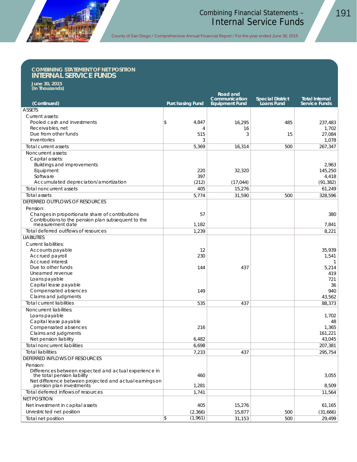

# Combining Financial Statements – Internal Service Funds

County of San Diego **/** Comprehensive Annual Financial Report **/** For the year ended June 30, 2015

#### **COMBINING STATEMENT OF NET POSITION INTERNAL SERVICE FUNDS**

**June 30, 2015 (In Thousands)**

| (Continued)                                                                            | <b>Purchasing Fund</b> | Road and<br>Communication<br><b>Equipment Fund</b> | <b>Special District</b><br>Loans Fund | <b>Total Internal</b><br><b>Service Funds</b> |
|----------------------------------------------------------------------------------------|------------------------|----------------------------------------------------|---------------------------------------|-----------------------------------------------|
| <b>ASSETS</b>                                                                          |                        |                                                    |                                       |                                               |
| Current assets:                                                                        |                        |                                                    |                                       |                                               |
| Pooled cash and investments                                                            | \$<br>4,847            | 16,295                                             | 485                                   | 237,483                                       |
| Receivables, net                                                                       | 4                      | 16                                                 |                                       | 1,702                                         |
| Due from other funds                                                                   | 515                    | 3                                                  | 15                                    | 27,084                                        |
| Inventories                                                                            | 3                      |                                                    |                                       | 1,078                                         |
| <b>Total current assets</b>                                                            | 5,369                  | 16,314                                             | 500                                   | 267,347                                       |
| Noncurrent assets:                                                                     |                        |                                                    |                                       |                                               |
| Capital assets:                                                                        |                        |                                                    |                                       |                                               |
| <b>Buildings and improvements</b>                                                      |                        |                                                    |                                       | 2,963                                         |
| Equipment                                                                              | 220                    | 32,320                                             |                                       | 145,250                                       |
| Software                                                                               | 397                    |                                                    |                                       | 4,418                                         |
| Accumulated depreciation/amortization                                                  | (212)                  | (17, 044)                                          |                                       | (91, 382)                                     |
| Total noncurrent assets                                                                | 405                    | 15,276                                             |                                       | 61,249                                        |
| Total assets                                                                           | 5,774                  | 31,590                                             | 500                                   | 328,596                                       |
| DEFERRED OUTFLOWS OF RESOURCES                                                         |                        |                                                    |                                       |                                               |
| Pension:                                                                               |                        |                                                    |                                       |                                               |
| Changes in proportionate share of contributions                                        | 57                     |                                                    |                                       | 380                                           |
| Contributions to the pension plan subsequent to the<br>measurement date                | 1,182                  |                                                    |                                       | 7,841                                         |
| Total deferred outflows of resources                                                   | 1,239                  |                                                    |                                       | 8,221                                         |
| <b>LIABILITIES</b>                                                                     |                        |                                                    |                                       |                                               |
|                                                                                        |                        |                                                    |                                       |                                               |
| <b>Current liabilities:</b>                                                            |                        |                                                    |                                       | 35,939                                        |
| Accounts payable<br>Accrued payroll                                                    | 12<br>230              |                                                    |                                       | 1,541                                         |
| <b>Accrued interest</b>                                                                |                        |                                                    |                                       | 1                                             |
| Due to other funds                                                                     | 144                    | 437                                                |                                       | 5,214                                         |
| Unearned revenue                                                                       |                        |                                                    |                                       | 419                                           |
| Loans payable                                                                          |                        |                                                    |                                       | 721                                           |
| Capital lease payable                                                                  |                        |                                                    |                                       | 36                                            |
| Compensated absences                                                                   | 149                    |                                                    |                                       | 940                                           |
| Claims and judgments                                                                   |                        |                                                    |                                       | 43,562                                        |
| <b>Total current liabilities</b>                                                       | 535                    | 437                                                |                                       | 88,373                                        |
| Noncurrent liabilities:                                                                |                        |                                                    |                                       |                                               |
| Loans payable                                                                          |                        |                                                    |                                       | 1,702                                         |
| Capital lease payable                                                                  |                        |                                                    |                                       | 48                                            |
| Compensated absences                                                                   | 216                    |                                                    |                                       | 1,365                                         |
| Claims and judgments                                                                   |                        |                                                    |                                       | 161,221                                       |
| Net pension liability                                                                  | 6,482                  |                                                    |                                       | 43,045                                        |
| <b>Total noncurrent liabilities</b>                                                    | 6,698                  |                                                    |                                       | 207,381                                       |
| <b>Total liabilities</b>                                                               | 7,233                  | 437                                                |                                       | 295,754                                       |
| DEFERRED INFLOWS OF RESOURCES                                                          |                        |                                                    |                                       |                                               |
| Pension:                                                                               |                        |                                                    |                                       |                                               |
| Differences between expected and actual experience in                                  |                        |                                                    |                                       |                                               |
| the total pension liability<br>Net difference between projected and actual earnings on | 460                    |                                                    |                                       | 3,055                                         |
| pension plan investments                                                               | 1,281                  |                                                    |                                       | 8,509                                         |
| Total deferred inflows of resources                                                    | 1,741                  |                                                    |                                       | 11,564                                        |
| <b>NET POSITION</b>                                                                    |                        |                                                    |                                       |                                               |
| Net investment in capital assets                                                       | 405                    | 15,276                                             |                                       | 61,165                                        |
| Unrestricted net position                                                              | (2,366)                | 15,877                                             | 500                                   | (31,666)                                      |
| Total net position                                                                     | (1,961)<br>\$          | 31,153                                             | 500                                   | 29.499                                        |
|                                                                                        |                        |                                                    |                                       |                                               |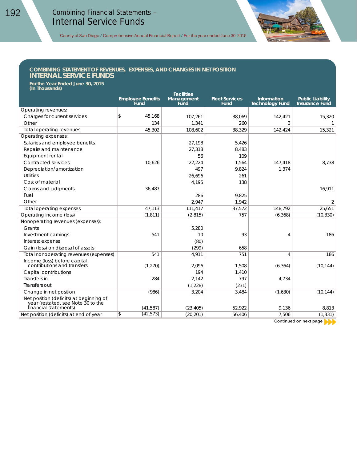#### **COMBINING STATEMENT OF REVENUES, EXPENSES, AND CHANGES IN NET POSITION INTERNAL SERVICE FUNDS**

**For the Year Ended June 30, 2015 (In Thousands)**

|                                                                               | <b>Employee Benefits</b>              | <b>Facilities</b>  | <b>Fleet Services</b> | Information            | <b>Public Liability</b> |
|-------------------------------------------------------------------------------|---------------------------------------|--------------------|-----------------------|------------------------|-------------------------|
|                                                                               | Fund                                  | Management<br>Fund | Fund                  | <b>Technology Fund</b> | <b>Insurance Fund</b>   |
| Operating revenues:                                                           |                                       |                    |                       |                        |                         |
| Charges for current services                                                  | \$<br>45.168                          | 107,261            | 38.069                | 142,421                | 15,320                  |
| Other                                                                         | 134                                   | 1,341              | 260                   | 3                      | 1                       |
| Total operating revenues                                                      | 45,302                                | 108,602            | 38,329                | 142,424                | 15,321                  |
| Operating expenses:                                                           |                                       |                    |                       |                        |                         |
| Salaries and employee benefits                                                |                                       | 27,198             | 5,426                 |                        |                         |
| Repairs and maintenance                                                       |                                       | 27,318             | 8,483                 |                        |                         |
| Equipment rental                                                              |                                       | 56                 | 109                   |                        |                         |
| Contracted services                                                           | 10,626                                | 22,224             | 1,564                 | 147,418                | 8,738                   |
| Depreciation/amortization                                                     |                                       | 497                | 9,824                 | 1,374                  |                         |
| Utilities                                                                     |                                       | 26,696             | 261                   |                        |                         |
| Cost of material                                                              |                                       | 4.195              | 138                   |                        |                         |
| Claims and judgments                                                          | 36.487                                |                    |                       |                        | 16,911                  |
| Fuel                                                                          |                                       | 286                | 9,825                 |                        |                         |
| Other                                                                         |                                       | 2,947              | 1,942                 |                        | 2                       |
| Total operating expenses                                                      | 47.113                                | 111,417            | 37,572                | 148.792                | 25,651                  |
| Operating income (loss)                                                       | (1, 811)                              | (2,815)            | 757                   | (6, 368)               | (10, 330)               |
| Nonoperating revenues (expenses):                                             |                                       |                    |                       |                        |                         |
| Grants                                                                        |                                       | 5,280              |                       |                        |                         |
| Investment earnings                                                           | 541                                   | 10                 | 93                    | 4                      | 186                     |
| Interest expense                                                              |                                       | (80)               |                       |                        |                         |
| Gain (loss) on disposal of assets                                             |                                       | (299)              | 658                   |                        |                         |
| Total nonoperating revenues (expenses)                                        | 541                                   | 4,911              | 751                   | 4                      | 186                     |
| Income (loss) before capital                                                  |                                       |                    |                       |                        |                         |
| contributions and transfers                                                   | (1,270)                               | 2,096              | 1,508                 | (6, 364)               | (10, 144)               |
| Capital contributions                                                         |                                       | 194                | 1,410                 |                        |                         |
| Transfers in                                                                  | 284                                   | 2,142              | 797                   | 4,734                  |                         |
| Transfers out                                                                 |                                       | (1,228)            | (231)                 |                        |                         |
| Change in net position                                                        | (986)                                 | 3,204              | 3,484                 | (1,630)                | (10, 144)               |
| Net position (deficits) at beginning of<br>year (restated, see Note 30 to the |                                       |                    |                       |                        |                         |
| financial statements)                                                         | (41, 587)                             | (23, 405)          | 52,922                | 9,136                  | 8,813                   |
| Net position (deficits) at end of year                                        | (42, 573)<br>$\overline{\mathcal{S}}$ | (20, 201)          | 56,406                | 7,506                  | (1, 331)                |
|                                                                               |                                       |                    |                       |                        |                         |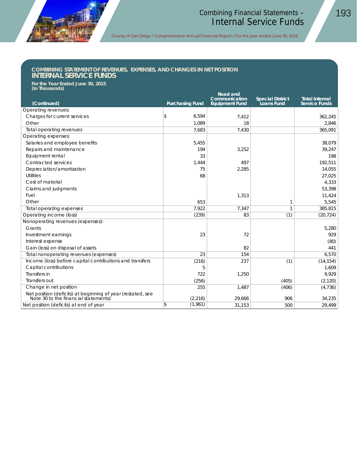

# Combining Financial Statements – Internal Service Funds

County of San Diego **/** Comprehensive Annual Financial Report **/** For the year ended June 30, 2015

#### **COMBINING STATEMENT OF REVENUES, EXPENSES, AND CHANGES IN NET POSITION INTERNAL SERVICE FUNDS**

| (III IIIUusalius)                                                                                   |                        | Road and              |                         |                       |
|-----------------------------------------------------------------------------------------------------|------------------------|-----------------------|-------------------------|-----------------------|
|                                                                                                     |                        | Communication         | <b>Special District</b> | <b>Total Internal</b> |
| (Continued)                                                                                         | <b>Purchasing Fund</b> | <b>Equipment Fund</b> | <b>Loans Fund</b>       | <b>Service Funds</b>  |
| Operating revenues:                                                                                 |                        |                       |                         |                       |
| Charges for current services                                                                        | \$<br>6,594            | 7,412                 |                         | 362,245               |
| Other                                                                                               | 1,089                  | 18                    |                         | 2,846                 |
| <b>Total operating revenues</b>                                                                     | 7,683                  | 7,430                 |                         | 365,091               |
| Operating expenses:                                                                                 |                        |                       |                         |                       |
| Salaries and employee benefits                                                                      | 5,455                  |                       |                         | 38,079                |
| Repairs and maintenance                                                                             | 194                    | 3,252                 |                         | 39,247                |
| Equipment rental                                                                                    | 33                     |                       |                         | 198                   |
| Contracted services                                                                                 | 1.444                  | 497                   |                         | 192,511               |
| Depreciation/amortization                                                                           | 75                     | 2,285                 |                         | 14,055                |
| <b>Utilities</b>                                                                                    | 68                     |                       |                         | 27,025                |
| Cost of material                                                                                    |                        |                       |                         | 4,333                 |
| Claims and judgments                                                                                |                        |                       |                         | 53,398                |
| Fuel                                                                                                |                        | 1,313                 |                         | 11,424                |
| Other                                                                                               | 653                    |                       | 1                       | 5,545                 |
| Total operating expenses                                                                            | 7,922                  | 7,347                 | $\mathbf{1}$            | 385,815               |
| Operating income (loss)                                                                             | (239)                  | 83                    | (1)                     | (20, 724)             |
| Nonoperating revenues (expenses):                                                                   |                        |                       |                         |                       |
| Grants                                                                                              |                        |                       |                         | 5,280                 |
| Investment earnings                                                                                 | 23                     | 72                    |                         | 929                   |
| Interest expense                                                                                    |                        |                       |                         | (80)                  |
| Gain (loss) on disposal of assets                                                                   |                        | 82                    |                         | 441                   |
| Total nonoperating revenues (expenses)                                                              | 23                     | 154                   |                         | 6,570                 |
| Income (loss) before capital contributions and transfers                                            | (216)                  | 237                   | (1)                     | (14, 154)             |
| Capital contributions                                                                               | 5                      |                       |                         | 1,609                 |
| Transfers in                                                                                        | 722                    | 1,250                 |                         | 9.929                 |
| Transfers out                                                                                       | (256)                  |                       | (405)                   | (2, 120)              |
| Change in net position                                                                              | 255                    | 1,487                 | (406)                   | (4, 736)              |
| Net position (deficits) at beginning of year (restated, see<br>Note 30 to the financial statements) | (2, 216)               | 29,666                | 906                     | 34,235                |
| Net position (deficits) at end of year                                                              | (1,961)<br>\$          | 31.153                | 500                     | 29,499                |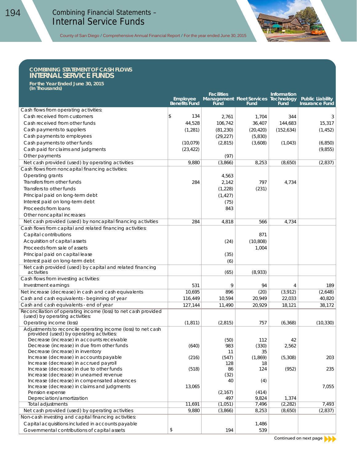#### **COMBINING STATEMENT OF CASH FLOWS INTERNAL SERVICE FUNDS**

|                                                                                                          |                                  | <b>Facilities</b> |                                              | Information    |                                                  |
|----------------------------------------------------------------------------------------------------------|----------------------------------|-------------------|----------------------------------------------|----------------|--------------------------------------------------|
|                                                                                                          | Employee<br><b>Benefits Fund</b> | Fund              | Management Fleet Services Technology<br>Fund | Fund           | <b>Public Liability</b><br><b>Insurance Fund</b> |
| Cash flows from operating activities:                                                                    |                                  |                   |                                              |                |                                                  |
| Cash received from customers                                                                             | \$<br>134                        | 2,761             | 1,704                                        | 344            | 3                                                |
| Cash received from other funds                                                                           | 44,528                           | 106,742           | 36,407                                       | 144,683        | 15,317                                           |
| Cash payments to suppliers                                                                               | (1, 281)                         | (81, 230)         | (20, 420)                                    | (152, 634)     | (1, 452)                                         |
| Cash payments to employees                                                                               |                                  | (29, 227)         | (5,830)                                      |                |                                                  |
| Cash payments to other funds                                                                             |                                  |                   |                                              |                |                                                  |
|                                                                                                          | (10,079)                         | (2,815)           | (3,608)                                      | (1,043)        | (6,850)                                          |
| Cash paid for claims and judgments                                                                       | (23, 422)                        |                   |                                              |                | (9,855)                                          |
| Other payments                                                                                           |                                  | (97)              |                                              |                |                                                  |
| Net cash provided (used) by operating activities                                                         | 9,880                            | (3,866)           | 8,253                                        | (8,650)        | (2,837)                                          |
| Cash flows from noncapital financing activities:                                                         |                                  |                   |                                              |                |                                                  |
| Operating grants                                                                                         |                                  | 4,563             |                                              |                |                                                  |
| Transfers from other funds                                                                               | 284                              | 2,142             | 797                                          | 4,734          |                                                  |
| Transfers to other funds                                                                                 |                                  | (1, 228)          | (231)                                        |                |                                                  |
| Principal paid on long-term debt                                                                         |                                  | (1, 427)          |                                              |                |                                                  |
| Interest paid on long-term debt                                                                          |                                  | (75)              |                                              |                |                                                  |
| Proceeds from loans                                                                                      |                                  | 843               |                                              |                |                                                  |
| Other noncapital increases                                                                               |                                  |                   |                                              |                |                                                  |
| Net cash provided (used) by noncapital financing activities                                              | 284                              | 4,818             | 566                                          | 4,734          |                                                  |
| Cash flows from capital and related financing activities:                                                |                                  |                   |                                              |                |                                                  |
| Capital contributions                                                                                    |                                  |                   | 871                                          |                |                                                  |
| Acquisition of capital assets                                                                            |                                  | (24)              | (10, 808)                                    |                |                                                  |
| Proceeds from sale of assets                                                                             |                                  |                   | 1,004                                        |                |                                                  |
| Principal paid on capital lease                                                                          |                                  | (35)              |                                              |                |                                                  |
| Interest paid on long-term debt                                                                          |                                  | (6)               |                                              |                |                                                  |
| Net cash provided (used) by capital and related financing                                                |                                  |                   |                                              |                |                                                  |
| activities                                                                                               |                                  | (65)              | (8,933)                                      |                |                                                  |
| Cash flows from investing activities:                                                                    |                                  |                   |                                              |                |                                                  |
| Investment earnings                                                                                      | 531                              | 9                 | 94                                           | $\overline{4}$ | 189                                              |
| Net increase (decrease) in cash and cash equivalents                                                     | 10,695                           | 896               | (20)                                         | (3,912)        | (2,648)                                          |
| Cash and cash equivalents - beginning of year                                                            | 116,449                          | 10,594            | 20,949                                       | 22,033         | 40,820                                           |
| Cash and cash equivalents - end of year                                                                  | 127,144                          | 11,490            | 20,929                                       | 18,121         | 38,172                                           |
| Reconciliation of operating income (loss) to net cash provided<br>(used) by operating activities:        |                                  |                   |                                              |                |                                                  |
| Operating income (loss)                                                                                  | (1, 811)                         | (2,815)           | 757                                          | (6, 368)       | (10, 330)                                        |
| Adjustments to reconcile operating income (loss) to net cash<br>provided (used) by operating activities: |                                  |                   |                                              |                |                                                  |
| Decrease (increase) in accounts receivable                                                               |                                  | (50)              | 112                                          | 42             |                                                  |
| Decrease (increase) in due from other funds                                                              | (640)                            | 983               | (330)                                        | 2,562          |                                                  |
| Decrease (increase) in inventory                                                                         |                                  | 11                | 35                                           |                |                                                  |
| Increase (decrease) in accounts payable                                                                  | (216)                            | (547)             | (1,869)                                      | (5,308)        | 203                                              |
| Increase (decrease) in accrued payroll                                                                   |                                  | 128               | 18                                           |                |                                                  |
| Increase (decrease) in due to other funds                                                                | (518)                            | 86                | 124                                          | (952)          | 235                                              |
| Increase (decrease) in unearned revenue                                                                  |                                  | (32)              |                                              |                |                                                  |
| Increase (decrease) in compensated absences                                                              |                                  | 40                | (4)                                          |                |                                                  |
| Increase (decrease) in claims and judgments                                                              | 13,065                           |                   |                                              |                | 7,055                                            |
| Pension expense                                                                                          |                                  | (2, 167)          | (414)                                        |                |                                                  |
| Depreciation/amortization                                                                                |                                  | 497               | 9,824                                        | 1,374          |                                                  |
| <b>Total adjustments</b>                                                                                 | 11,691                           | (1,051)           | 7,496                                        | (2, 282)       | 7,493                                            |
| Net cash provided (used) by operating activities                                                         | 9,880                            | (3,866)           | 8,253                                        | (8,650)        | (2,837)                                          |
| Non-cash investing and capital financing activities:                                                     |                                  |                   |                                              |                |                                                  |
| Capital acquisitions included in accounts payable                                                        |                                  |                   | 1,486                                        |                |                                                  |
| Governmental contributions of capital assets                                                             | \$                               | 194               | 539                                          |                |                                                  |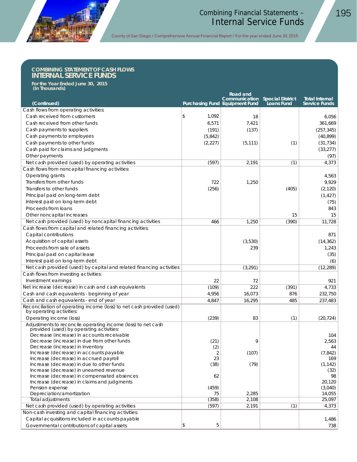

# Combining Financial Statements – Internal Service Funds

County of San Diego **/** Comprehensive Annual Financial Report **/** For the year ended June 30, 2015

#### **COMBINING STATEMENT OF CASH FLOWS INTERNAL SERVICE FUNDS**

|                                                                                                          |                                       | Road and<br><b>Communication</b> Special District |            |                                        |
|----------------------------------------------------------------------------------------------------------|---------------------------------------|---------------------------------------------------|------------|----------------------------------------|
| (Continued)                                                                                              | <b>Purchasing Fund Equipment Fund</b> |                                                   | Loans Fund | <b>Total Internal</b><br>Service Funds |
| Cash flows from operating activities:                                                                    |                                       |                                                   |            |                                        |
| Cash received from customers                                                                             | $\boldsymbol{\mathsf{S}}$<br>1,092    | 18                                                |            | 6,056                                  |
| Cash received from other funds                                                                           | 6,571                                 | 7,421                                             |            | 361.669                                |
| Cash payments to suppliers                                                                               | (191)                                 | (137)                                             |            | (257, 345)                             |
| Cash payments to employees                                                                               | (5,842)                               |                                                   |            | (40, 899)                              |
| Cash payments to other funds                                                                             | (2, 227)                              | (5, 111)                                          | (1)        | (31, 734)                              |
| Cash paid for claims and judgments                                                                       |                                       |                                                   |            | (33, 277)                              |
| Other payments                                                                                           |                                       |                                                   |            | (97)                                   |
| Net cash provided (used) by operating activities                                                         | (597)                                 | 2,191                                             | (1)        | 4,373                                  |
| Cash flows from noncapital financing activities:                                                         |                                       |                                                   |            |                                        |
| Operating grants                                                                                         |                                       |                                                   |            | 4,563                                  |
| Transfers from other funds                                                                               | 722                                   | 1,250                                             |            | 9,929                                  |
| Transfers to other funds                                                                                 | (256)                                 |                                                   | (405)      | (2, 120)                               |
| Principal paid on long-term debt                                                                         |                                       |                                                   |            | (1, 427)                               |
| Interest paid on long-term debt                                                                          |                                       |                                                   |            | (75)                                   |
| Proceeds from loans                                                                                      |                                       |                                                   |            | 843                                    |
| Other noncapital increases                                                                               |                                       |                                                   | 15         | 15                                     |
| Net cash provided (used) by noncapital financing activities                                              | 466                                   | 1,250                                             | (390)      | 11,728                                 |
| Cash flows from capital and related financing activities:                                                |                                       |                                                   |            |                                        |
| Capital contributions                                                                                    |                                       |                                                   |            | 871                                    |
| Acquisition of capital assets                                                                            |                                       | (3,530)                                           |            | (14, 362)                              |
| Proceeds from sale of assets                                                                             |                                       | 239                                               |            | 1,243                                  |
| Principal paid on capital lease                                                                          |                                       |                                                   |            | (35)                                   |
| Interest paid on long-term debt                                                                          |                                       |                                                   |            |                                        |
|                                                                                                          |                                       | (3, 291)                                          |            | (6)<br>(12, 289)                       |
| Net cash provided (used) by capital and related financing activities                                     |                                       |                                                   |            |                                        |
| Cash flows from investing activities:                                                                    | 22                                    | 72                                                |            | 921                                    |
| Investment earnings                                                                                      |                                       | 222                                               |            |                                        |
| Net increase (decrease) in cash and cash equivalents                                                     | (109)                                 | 16,073                                            | (391)      | 4,733                                  |
| Cash and cash equivalents - beginning of year                                                            | 4,956                                 |                                                   | 876        | 232,750                                |
| Cash and cash equivalents - end of year                                                                  | 4,847                                 | 16,295                                            | 485        | 237,483                                |
| Reconciliation of operating income (loss) to net cash provided (used)<br>by operating activities:        |                                       |                                                   |            |                                        |
| Operating income (loss)                                                                                  | (239)                                 | 83                                                | (1)        | (20, 724)                              |
| Adjustments to reconcile operating income (loss) to net cash<br>provided (used) by operating activities: |                                       |                                                   |            |                                        |
| Decrease (increase) in accounts receivable                                                               |                                       |                                                   |            | 104                                    |
| Decrease (increase) in due from other funds                                                              | (21)                                  | 9                                                 |            | 2,563                                  |
| Decrease (increase) in inventory                                                                         | (2)                                   |                                                   |            | 44                                     |
| Increase (decrease) in accounts payable                                                                  |                                       | (107)                                             |            | (7, 842)                               |
| Increase (decrease) in accrued payroll                                                                   | 23                                    |                                                   |            | 169                                    |
| Increase (decrease) in due to other funds<br>Increase (decrease) in unearned revenue                     | (38)                                  | (79)                                              |            | (1, 142)                               |
| Increase (decrease) in compensated absences                                                              | 62                                    |                                                   |            | (32)<br>98                             |
| Increase (decrease) in claims and judgments                                                              |                                       |                                                   |            | 20,120                                 |
| Pension expense                                                                                          | (459)                                 |                                                   |            | (3,040)                                |
| Depreciation/amortization                                                                                | 75                                    | 2,285                                             |            | 14,055                                 |
| <b>Total adjustments</b>                                                                                 | (358)                                 | 2,108                                             |            | 25,097                                 |
| Net cash provided (used) by operating activities                                                         | (597)                                 | 2,191                                             | (1)        | 4,373                                  |
| Non-cash investing and capital financing activities:                                                     |                                       |                                                   |            |                                        |
| Capital acquisitions included in accounts payable                                                        |                                       |                                                   |            | 1,486                                  |
| Governmental contributions of capital assets                                                             | 5<br>\$                               |                                                   |            | 738                                    |
|                                                                                                          |                                       |                                                   |            |                                        |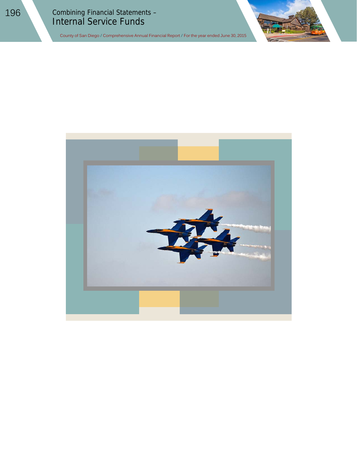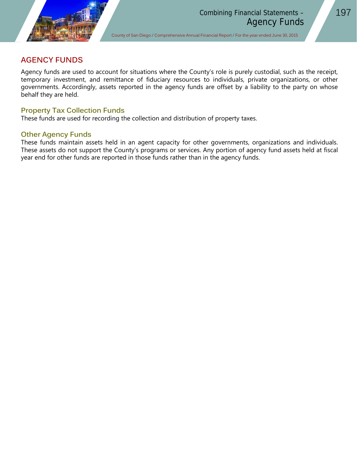

# **AGENCY FUNDS**

Agency funds are used to account for situations where the County's role is purely custodial, such as the receipt, temporary investment, and remittance of fiduciary resources to individuals, private organizations, or other governments. Accordingly, assets reported in the agency funds are offset by a liability to the party on whose behalf they are held.

# **Property Tax Collection Funds**

These funds are used for recording the collection and distribution of property taxes.

# **Other Agency Funds**

These funds maintain assets held in an agent capacity for other governments, organizations and individuals. These assets do not support the County's programs or services. Any portion of agency fund assets held at fiscal year end for other funds are reported in those funds rather than in the agency funds.